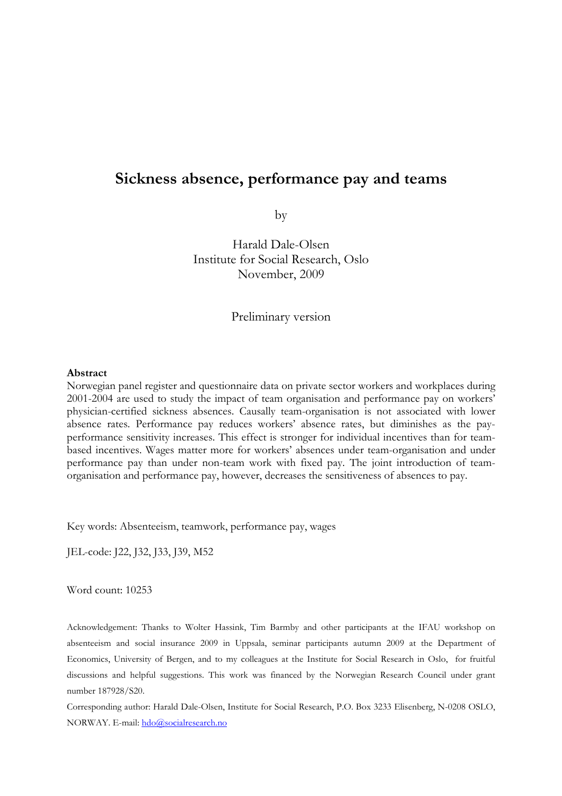# **Sickness absence, performance pay and teams**

by

Harald Dale-Olsen Institute for Social Research, Oslo November, 2009

Preliminary version

#### **Abstract**

Norwegian panel register and questionnaire data on private sector workers and workplaces during 2001-2004 are used to study the impact of team organisation and performance pay on workers' physician-certified sickness absences. Causally team-organisation is not associated with lower absence rates. Performance pay reduces workers' absence rates, but diminishes as the payperformance sensitivity increases. This effect is stronger for individual incentives than for teambased incentives. Wages matter more for workers' absences under team-organisation and under performance pay than under non-team work with fixed pay. The joint introduction of teamorganisation and performance pay, however, decreases the sensitiveness of absences to pay.

Key words: Absenteeism, teamwork, performance pay, wages

JEL-code: J22, J32, J33, J39, M52

Word count: 10253

Acknowledgement: Thanks to Wolter Hassink, Tim Barmby and other participants at the IFAU workshop on absenteeism and social insurance 2009 in Uppsala, seminar participants autumn 2009 at the Department of Economics, University of Bergen, and to my colleagues at the Institute for Social Research in Oslo, for fruitful discussions and helpful suggestions. This work was financed by the Norwegian Research Council under grant number 187928/S20.

Corresponding author: Harald Dale-Olsen, Institute for Social Research, P.O. Box 3233 Elisenberg, N-0208 OSLO, NORWAY. E-mail: hdo@socialresearch.no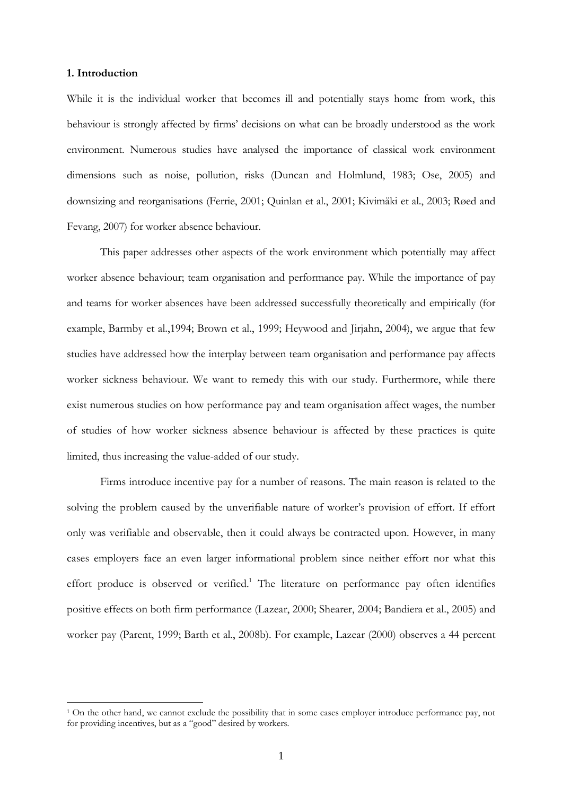# **1. Introduction**

 $\overline{a}$ 

While it is the individual worker that becomes ill and potentially stays home from work, this behaviour is strongly affected by firms' decisions on what can be broadly understood as the work environment. Numerous studies have analysed the importance of classical work environment dimensions such as noise, pollution, risks (Duncan and Holmlund, 1983; Ose, 2005) and downsizing and reorganisations (Ferrie, 2001; Quinlan et al., 2001; Kivimäki et al., 2003; Røed and Fevang, 2007) for worker absence behaviour.

 This paper addresses other aspects of the work environment which potentially may affect worker absence behaviour; team organisation and performance pay. While the importance of pay and teams for worker absences have been addressed successfully theoretically and empirically (for example, Barmby et al.,1994; Brown et al., 1999; Heywood and Jirjahn, 2004), we argue that few studies have addressed how the interplay between team organisation and performance pay affects worker sickness behaviour. We want to remedy this with our study. Furthermore, while there exist numerous studies on how performance pay and team organisation affect wages, the number of studies of how worker sickness absence behaviour is affected by these practices is quite limited, thus increasing the value-added of our study.

Firms introduce incentive pay for a number of reasons. The main reason is related to the solving the problem caused by the unverifiable nature of worker's provision of effort. If effort only was verifiable and observable, then it could always be contracted upon. However, in many cases employers face an even larger informational problem since neither effort nor what this effort produce is observed or verified.<sup>1</sup> The literature on performance pay often identifies positive effects on both firm performance (Lazear, 2000; Shearer, 2004; Bandiera et al., 2005) and worker pay (Parent, 1999; Barth et al., 2008b). For example, Lazear (2000) observes a 44 percent

<sup>1</sup> On the other hand, we cannot exclude the possibility that in some cases employer introduce performance pay, not for providing incentives, but as a "good" desired by workers.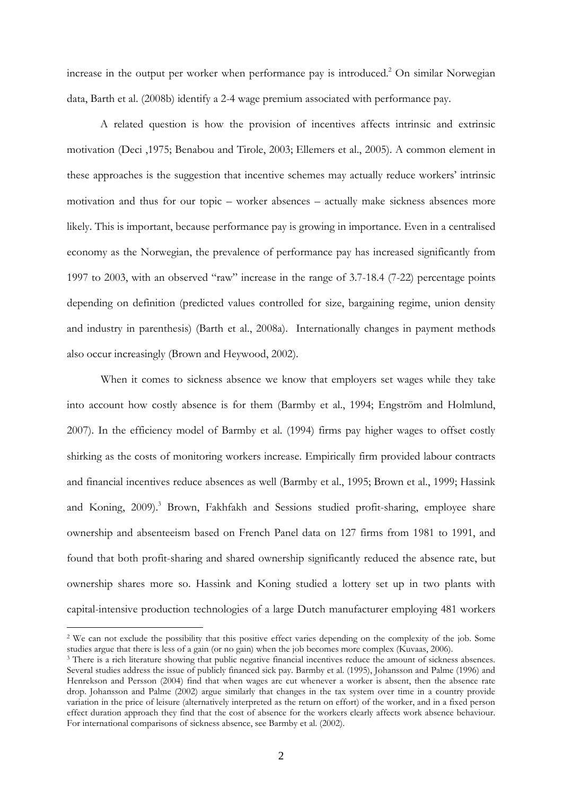increase in the output per worker when performance pay is introduced.<sup>2</sup> On similar Norwegian data, Barth et al. (2008b) identify a 2-4 wage premium associated with performance pay.

A related question is how the provision of incentives affects intrinsic and extrinsic motivation (Deci ,1975; Benabou and Tirole, 2003; Ellemers et al., 2005). A common element in these approaches is the suggestion that incentive schemes may actually reduce workers' intrinsic motivation and thus for our topic – worker absences – actually make sickness absences more likely. This is important, because performance pay is growing in importance. Even in a centralised economy as the Norwegian, the prevalence of performance pay has increased significantly from 1997 to 2003, with an observed "raw" increase in the range of 3.7-18.4 (7-22) percentage points depending on definition (predicted values controlled for size, bargaining regime, union density and industry in parenthesis) (Barth et al., 2008a). Internationally changes in payment methods also occur increasingly (Brown and Heywood, 2002).

When it comes to sickness absence we know that employers set wages while they take into account how costly absence is for them (Barmby et al., 1994; Engström and Holmlund, 2007). In the efficiency model of Barmby et al. (1994) firms pay higher wages to offset costly shirking as the costs of monitoring workers increase. Empirically firm provided labour contracts and financial incentives reduce absences as well (Barmby et al., 1995; Brown et al., 1999; Hassink and Koning, 2009).<sup>3</sup> Brown, Fakhfakh and Sessions studied profit-sharing, employee share ownership and absenteeism based on French Panel data on 127 firms from 1981 to 1991, and found that both profit-sharing and shared ownership significantly reduced the absence rate, but ownership shares more so. Hassink and Koning studied a lottery set up in two plants with capital-intensive production technologies of a large Dutch manufacturer employing 481 workers

 $\overline{a}$ 

<sup>2</sup> We can not exclude the possibility that this positive effect varies depending on the complexity of the job. Some studies argue that there is less of a gain (or no gain) when the job becomes more complex (Kuvaas, 2006).

<sup>&</sup>lt;sup>3</sup> There is a rich literature showing that public negative financial incentives reduce the amount of sickness absences. Several studies address the issue of publicly financed sick pay. Barmby et al. (1995), Johansson and Palme (1996) and Henrekson and Persson (2004) find that when wages are cut whenever a worker is absent, then the absence rate drop. Johansson and Palme (2002) argue similarly that changes in the tax system over time in a country provide variation in the price of leisure (alternatively interpreted as the return on effort) of the worker, and in a fixed person effect duration approach they find that the cost of absence for the workers clearly affects work absence behaviour. For international comparisons of sickness absence, see Barmby et al. (2002).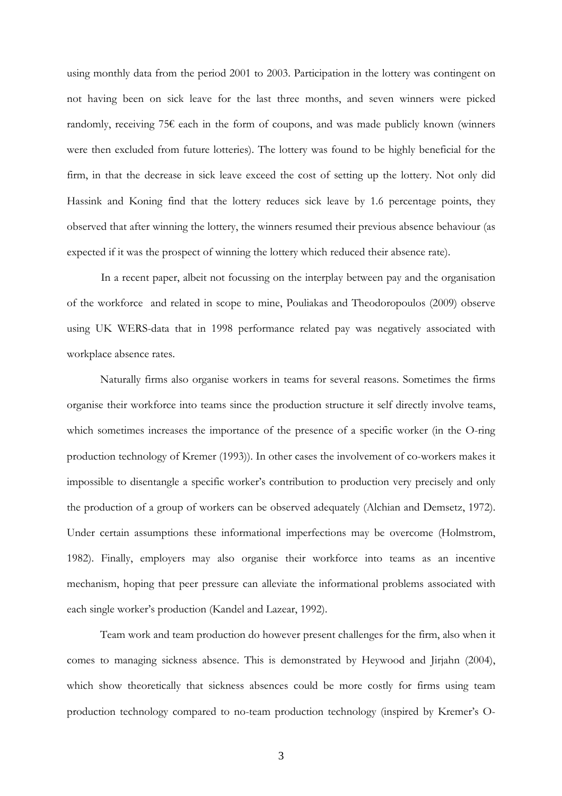using monthly data from the period 2001 to 2003. Participation in the lottery was contingent on not having been on sick leave for the last three months, and seven winners were picked randomly, receiving  $75\epsilon$  each in the form of coupons, and was made publicly known (winners were then excluded from future lotteries). The lottery was found to be highly beneficial for the firm, in that the decrease in sick leave exceed the cost of setting up the lottery. Not only did Hassink and Koning find that the lottery reduces sick leave by 1.6 percentage points, they observed that after winning the lottery, the winners resumed their previous absence behaviour (as expected if it was the prospect of winning the lottery which reduced their absence rate).

In a recent paper, albeit not focussing on the interplay between pay and the organisation of the workforce and related in scope to mine, Pouliakas and Theodoropoulos (2009) observe using UK WERS-data that in 1998 performance related pay was negatively associated with workplace absence rates.

 Naturally firms also organise workers in teams for several reasons. Sometimes the firms organise their workforce into teams since the production structure it self directly involve teams, which sometimes increases the importance of the presence of a specific worker (in the O-ring production technology of Kremer (1993)). In other cases the involvement of co-workers makes it impossible to disentangle a specific worker's contribution to production very precisely and only the production of a group of workers can be observed adequately (Alchian and Demsetz, 1972). Under certain assumptions these informational imperfections may be overcome (Holmstrom, 1982). Finally, employers may also organise their workforce into teams as an incentive mechanism, hoping that peer pressure can alleviate the informational problems associated with each single worker's production (Kandel and Lazear, 1992).

Team work and team production do however present challenges for the firm, also when it comes to managing sickness absence. This is demonstrated by Heywood and Jirjahn (2004), which show theoretically that sickness absences could be more costly for firms using team production technology compared to no-team production technology (inspired by Kremer's O-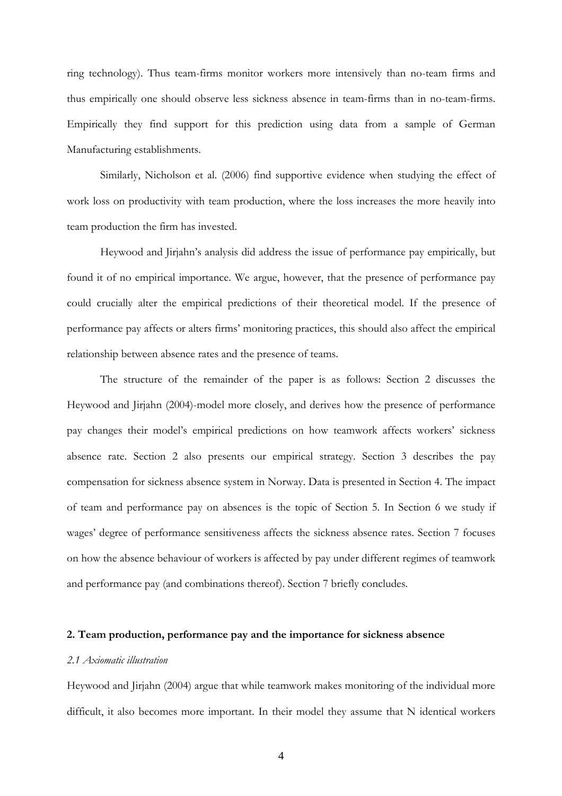ring technology). Thus team-firms monitor workers more intensively than no-team firms and thus empirically one should observe less sickness absence in team-firms than in no-team-firms. Empirically they find support for this prediction using data from a sample of German Manufacturing establishments.

Similarly, Nicholson et al. (2006) find supportive evidence when studying the effect of work loss on productivity with team production, where the loss increases the more heavily into team production the firm has invested.

Heywood and Jirjahn's analysis did address the issue of performance pay empirically, but found it of no empirical importance. We argue, however, that the presence of performance pay could crucially alter the empirical predictions of their theoretical model. If the presence of performance pay affects or alters firms' monitoring practices, this should also affect the empirical relationship between absence rates and the presence of teams.

 The structure of the remainder of the paper is as follows: Section 2 discusses the Heywood and Jirjahn (2004)-model more closely, and derives how the presence of performance pay changes their model's empirical predictions on how teamwork affects workers' sickness absence rate. Section 2 also presents our empirical strategy. Section 3 describes the pay compensation for sickness absence system in Norway. Data is presented in Section 4. The impact of team and performance pay on absences is the topic of Section 5. In Section 6 we study if wages' degree of performance sensitiveness affects the sickness absence rates. Section 7 focuses on how the absence behaviour of workers is affected by pay under different regimes of teamwork and performance pay (and combinations thereof). Section 7 briefly concludes.

#### **2. Team production, performance pay and the importance for sickness absence**

### *2.1 Axiomatic illustration*

Heywood and Jirjahn (2004) argue that while teamwork makes monitoring of the individual more difficult, it also becomes more important. In their model they assume that N identical workers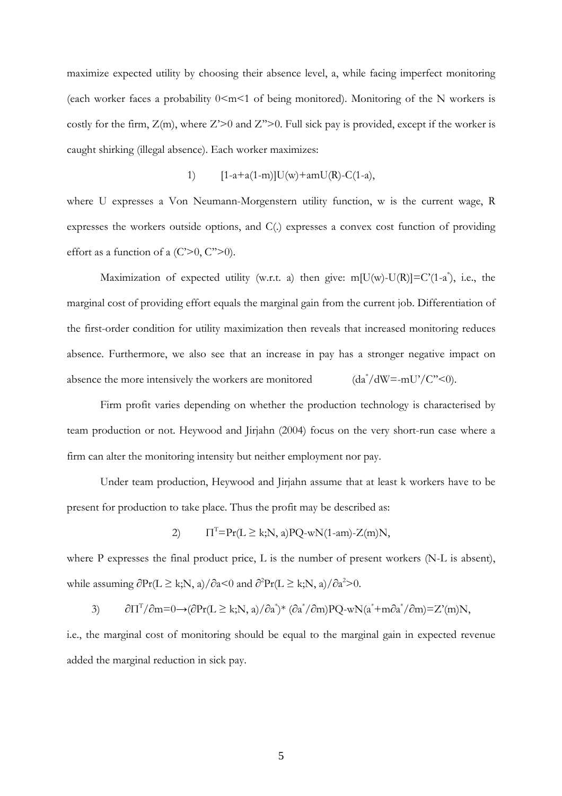maximize expected utility by choosing their absence level, a, while facing imperfect monitoring (each worker faces a probability  $0 \le m \le 1$  of being monitored). Monitoring of the N workers is costly for the firm,  $Z(m)$ , where  $Z' > 0$  and  $Z'' > 0$ . Full sick pay is provided, except if the worker is caught shirking (illegal absence). Each worker maximizes:

1) 
$$
[1-a+a(1-m)]U(w)+amU(R)-C(1-a),
$$

where U expresses a Von Neumann-Morgenstern utility function, w is the current wage, R expresses the workers outside options, and C(.) expresses a convex cost function of providing effort as a function of a  $(C>0, C^{\prime\prime}>0)$ .

Maximization of expected utility (w.r.t. a) then give: m[ $U(w)-U(R)$ ]=C'(1-a<sup>\*</sup>), i.e., the marginal cost of providing effort equals the marginal gain from the current job. Differentiation of the first-order condition for utility maximization then reveals that increased monitoring reduces absence. Furthermore, we also see that an increase in pay has a stronger negative impact on absence the more intensively the workers are monitored  $\frac{d^*}{dW} = -mU' - C'' \leq 0$ .

 Firm profit varies depending on whether the production technology is characterised by team production or not. Heywood and Jirjahn (2004) focus on the very short-run case where a firm can alter the monitoring intensity but neither employment nor pay.

Under team production, Heywood and Jirjahn assume that at least k workers have to be present for production to take place. Thus the profit may be described as:

2) 
$$
\Pi^{\mathrm{T}} = \Pr(L \ge k; N, a) \text{PQ-wN}(1-am) - Z(m)N,
$$

where P expresses the final product price, L is the number of present workers (N-L is absent), while assuming  $\partial Pr(L \ge k; N, a)/\partial a \le 0$  and  $\partial^2 Pr(L \ge k; N, a)/\partial a^2 > 0$ .

$$
\partial \Pi^{T} / \partial m = 0 \longrightarrow (\partial Pr(L \ge k; N, a) / \partial a^{*})^{*} (\partial a^{*} / \partial m) PQ - wN(a^{*} + m \partial a^{*} / \partial m) = Z'(m)N,
$$

i.e., the marginal cost of monitoring should be equal to the marginal gain in expected revenue added the marginal reduction in sick pay.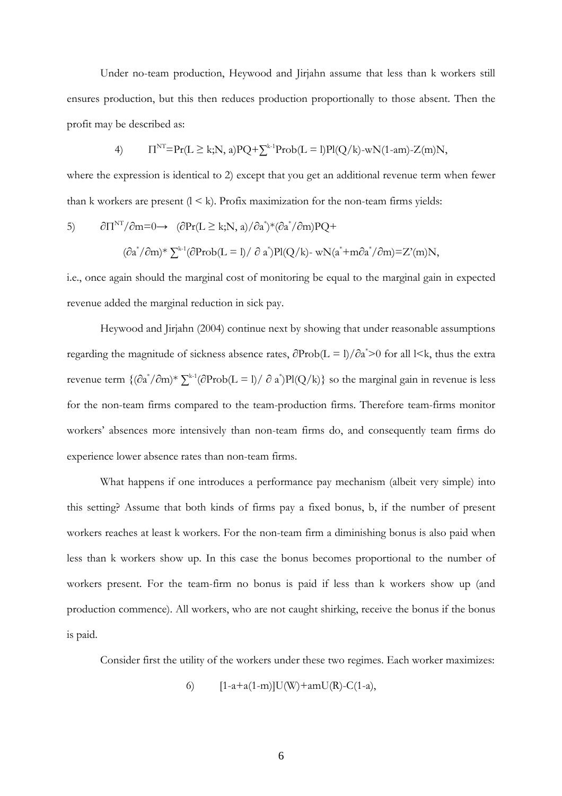Under no-team production, Heywood and Jirjahn assume that less than k workers still ensures production, but this then reduces production proportionally to those absent. Then the profit may be described as:

4) 
$$
\Pi^{\text{NT}} = \Pr(L \ge k; N, a) \text{PQ} + \sum_{k=1}^{k} \text{Prob}(L = l) \text{PI}(Q/k) - wN(1-am) - Z(m)N,
$$

where the expression is identical to 2) except that you get an additional revenue term when fewer than k workers are present  $(1 \le k)$ . Profix maximization for the non-team firms yields:

5) 
$$
\partial \Pi^{NT} / \partial m = 0 \longrightarrow (\partial Pr(L \ge k; N, a) / \partial a^*) * (\partial a^* / \partial m) PQ +
$$

$$
(\partial a^* / \partial m)^* \sum^{k-1} (\partial Prob(L = 1) / \partial a^*) Pl(Q/k) - wN(a^* + m \partial a^* / \partial m) = Z'(m)N,
$$

i.e., once again should the marginal cost of monitoring be equal to the marginal gain in expected revenue added the marginal reduction in sick pay.

 Heywood and Jirjahn (2004) continue next by showing that under reasonable assumptions regarding the magnitude of sickness absence rates,  $\partial$ Prob(L = l)/ $\partial$ a\*>0 for all l<k, thus the extra revenue term  $\{(\partial a^*/\partial m)^* \sum_{k=1}^{k-1} (\partial \text{Prob}(L = l)/ \partial a^*)\}$  so the marginal gain in revenue is less for the non-team firms compared to the team-production firms. Therefore team-firms monitor workers' absences more intensively than non-team firms do, and consequently team firms do experience lower absence rates than non-team firms.

 What happens if one introduces a performance pay mechanism (albeit very simple) into this setting? Assume that both kinds of firms pay a fixed bonus, b, if the number of present workers reaches at least k workers. For the non-team firm a diminishing bonus is also paid when less than k workers show up. In this case the bonus becomes proportional to the number of workers present. For the team-firm no bonus is paid if less than k workers show up (and production commence). All workers, who are not caught shirking, receive the bonus if the bonus is paid.

Consider first the utility of the workers under these two regimes. Each worker maximizes:

6) 
$$
[1-a+a(1-m)]U(W)+amU(R)-C(1-a),
$$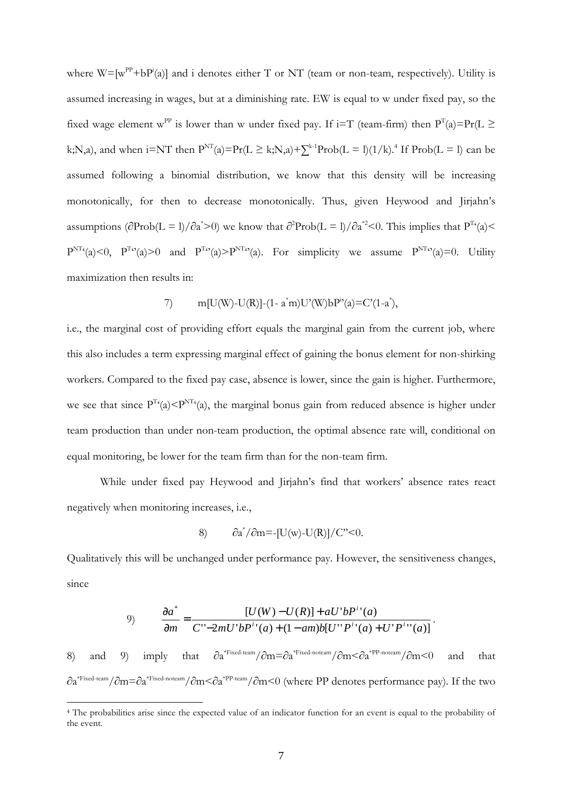where  $W = [w^{PP} + bP^{i}(a)]$  and i denotes either T or NT (team or non-team, respectively). Utility is assumed increasing in wages, but at a diminishing rate. EW is equal to w under fixed pay, so the fixed wage element w<sup>PP</sup> is lower than w under fixed pay. If i=T (team-firm) then  $P^{T}(a) = Pr(L \geq 0)$ k;N,a), and when  $i=NT$  then  $P^{NT}(a)=Pr(L \ge k; N, a)+\sum_{k=1}^{k}Prob(L = l)(1/k)^{A}$  If  $Prob(L = l)$  can be assumed following a binomial distribution, we know that this density will be increasing monotonically, for then to decrease monotonically. Thus, given Heywood and Jirjahn's assumptions ( $\partial \text{Prob}(L = 1)/\partial a^* > 0$ ) we know that  $\partial^2 \text{Prob}(L = 1)/\partial a^* \leq 0$ . This implies that  $P^{T}(a) \leq 0$  $P^{NT}(a) \le 0$ ,  $P^{To}(a) > 0$  and  $P^{To}(a) > P^{NT}(a)$ . For simplicity we assume  $P^{NT}(a) = 0$ . Utility maximization then results in:

7) 
$$
m[U(W)-U(R)]-(1-a^*m)U'(W)bP^{i}(a)=C'(1-a^*),
$$

i.e., the marginal cost of providing effort equals the marginal gain from the current job, where this also includes a term expressing marginal effect of gaining the bonus element for non-shirking workers. Compared to the fixed pay case, absence is lower, since the gain is higher. Furthermore, we see that since  $P^{T}(a) \leq P^{NT}(a)$ , the marginal bonus gain from reduced absence is higher under team production than under non-team production, the optimal absence rate will, conditional on equal monitoring, be lower for the team firm than for the non-team firm.

 While under fixed pay Heywood and Jirjahn's find that workers' absence rates react negatively when monitoring increases, i.e.,

$$
8) \qquad \partial a^*/\partial m = [U(w)-U(R)]/C^*<0.
$$

Qualitatively this will be unchanged under performance pay. However, the sensitiveness changes, since

9) 
$$
\frac{\partial a^*}{\partial m} = \frac{[U(W) - U(R)] + aU'bP^{i}(a)}{C' - 2mU'bP^{i}(a) + (1 - am)b[U''P^{i}(a) + U'P^{i}(a)]}
$$

.

8) and 9) imply that  $\partial a^{*Fixed-team}/\partial m = \partial a^{*Fixed-noteam}/\partial m \leq \partial a^{*PP-notcam}/\partial m \leq 0$  and that ∂a\*Fixed-team/∂m=∂a\*Fixed-noteam/∂m<∂a\*PP-team/∂m<0 (where PP denotes performance pay). If the two

 $\overline{a}$ 

<sup>4</sup> The probabilities arise since the expected value of an indicator function for an event is equal to the probability of the event.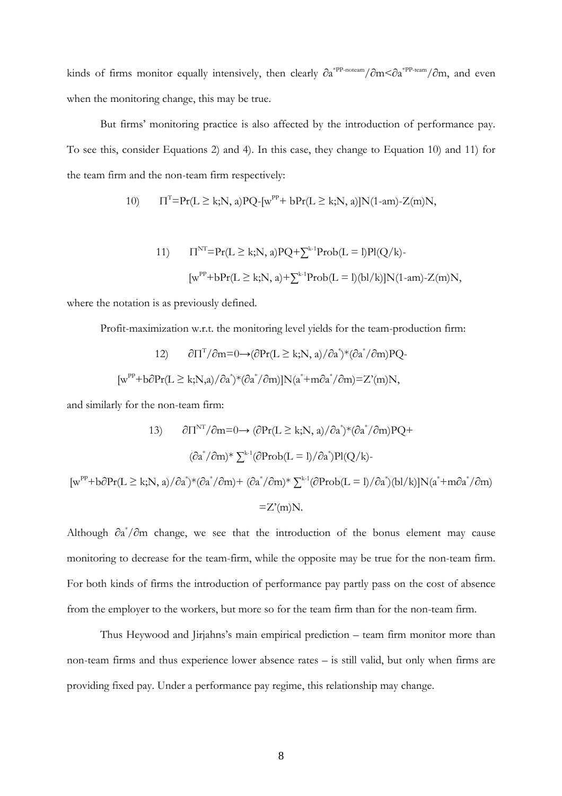kinds of firms monitor equally intensively, then clearly  $\partial a^{*PP-noteam}/\partial m < \partial a^{*PP-team}/\partial m$ , and even when the monitoring change, this may be true.

 But firms' monitoring practice is also affected by the introduction of performance pay. To see this, consider Equations 2) and 4). In this case, they change to Equation 10) and 11) for the team firm and the non-team firm respectively:

10) 
$$
\Pi^T = Pr(L \ge k; N, a) PQ-[w^{PP} + bPr(L \ge k; N, a)]N(1-am) - Z(m)N,
$$

11) 
$$
\Pi^{NT} = Pr(L \ge k; N, a) PQ + \sum_{k=1}^{k-1} Prob(L = 1) Pl(Q/k) - \left[ w^{PP} + bPr(L \ge k; N, a) + \sum_{k=1}^{k-1} Prob(L = 1) (b1/k) JN(1-am) - Z(m)N, \right]
$$

where the notation is as previously defined.

Profit-maximization w.r.t. the monitoring level yields for the team-production firm:

12) 
$$
\partial \Pi^T / \partial m = 0 \rightarrow (\partial Pr(L \ge k; N, a) / \partial a^*) * (\partial a^* / \partial m) PQ
$$
  
\n[ $w^{PP} + b \partial Pr(L \ge k; N, a) / \partial a^*) * (\partial a^* / \partial m) ] N(a^* + m \partial a^* / \partial m) = Z'(m)N$ ,

and similarly for the non-team firm:

13) 
$$
\frac{\partial \Pi^{NT}}{\partial m} = 0 \rightarrow (\frac{\partial Pr(L \ge k; N, a)}{\partial a^*} (\frac{\partial a^*}{\partial m})PQ +
$$

$$
(\frac{\partial a^*}{\partial m})^* \sum_{k=1}^{k-1} (\frac{\partial Pr(b(L = 1)}{\partial a^*})Pl(Q/k) -
$$

$$
[w^{PP} + b\frac{\partial Pr(L \ge k; N, a)}{\partial a^*} (\frac{\partial a^*}{\partial m}) + (\frac{\partial a^*}{\partial m})^* \sum_{k=1}^{k-1} (\frac{\partial Pr(b(L = 1)}{\partial a^*}) (b1/k)]N(a^* + m\frac{\partial a^*}{\partial m})
$$

$$
= Z'(m)N.
$$

Although  $\partial a^*/\partial m$  change, we see that the introduction of the bonus element may cause monitoring to decrease for the team-firm, while the opposite may be true for the non-team firm. For both kinds of firms the introduction of performance pay partly pass on the cost of absence from the employer to the workers, but more so for the team firm than for the non-team firm.

 Thus Heywood and Jirjahns's main empirical prediction – team firm monitor more than non-team firms and thus experience lower absence rates – is still valid, but only when firms are providing fixed pay. Under a performance pay regime, this relationship may change.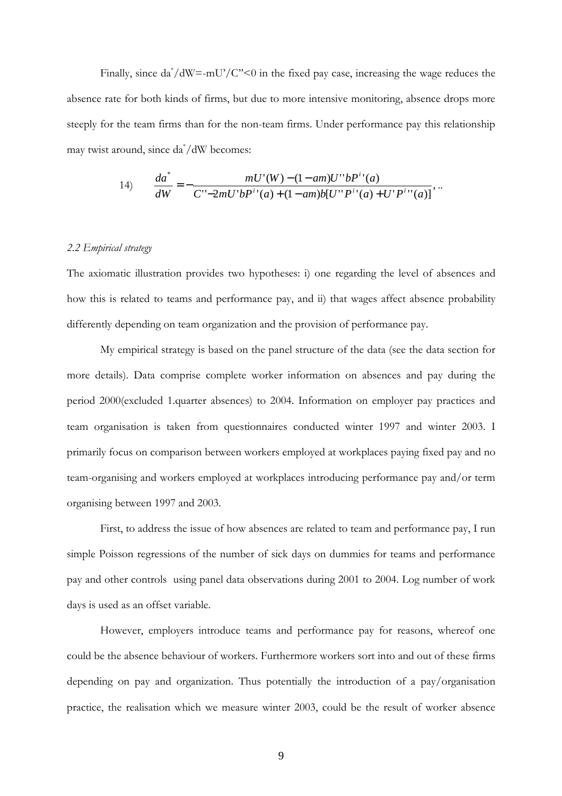Finally, since  $da^*/dW = -mU'/C'' < 0$  in the fixed pay case, increasing the wage reduces the absence rate for both kinds of firms, but due to more intensive monitoring, absence drops more steeply for the team firms than for the non-team firms. Under performance pay this relationship may twist around, since da\* /dW becomes:

14) 
$$
\frac{da^*}{dW} = -\frac{mU'(W) - (1 - am)U''bP^{i}(a)}{C'' - 2mU'bP^{i}(a) + (1 - am)b[U''P^{i}(a) + U'P^{i}(a)]},
$$

## *2.2 Empirical strategy*

The axiomatic illustration provides two hypotheses: i) one regarding the level of absences and how this is related to teams and performance pay, and ii) that wages affect absence probability differently depending on team organization and the provision of performance pay.

 My empirical strategy is based on the panel structure of the data (see the data section for more details). Data comprise complete worker information on absences and pay during the period 2000(excluded 1.quarter absences) to 2004. Information on employer pay practices and team organisation is taken from questionnaires conducted winter 1997 and winter 2003. I primarily focus on comparison between workers employed at workplaces paying fixed pay and no team-organising and workers employed at workplaces introducing performance pay and/or term organising between 1997 and 2003.

First, to address the issue of how absences are related to team and performance pay, I run simple Poisson regressions of the number of sick days on dummies for teams and performance pay and other controls using panel data observations during 2001 to 2004. Log number of work days is used as an offset variable.

However, employers introduce teams and performance pay for reasons, whereof one could be the absence behaviour of workers. Furthermore workers sort into and out of these firms depending on pay and organization. Thus potentially the introduction of a pay/organisation practice, the realisation which we measure winter 2003, could be the result of worker absence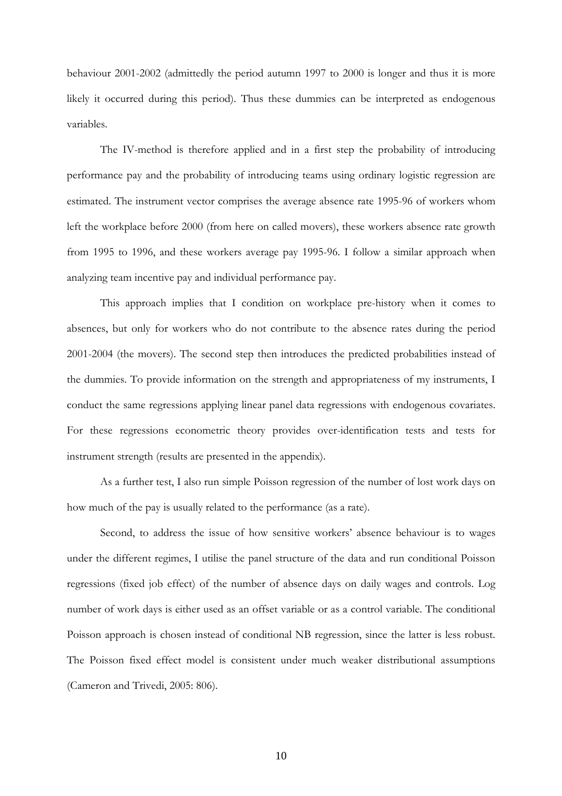behaviour 2001-2002 (admittedly the period autumn 1997 to 2000 is longer and thus it is more likely it occurred during this period). Thus these dummies can be interpreted as endogenous variables.

The IV-method is therefore applied and in a first step the probability of introducing performance pay and the probability of introducing teams using ordinary logistic regression are estimated. The instrument vector comprises the average absence rate 1995-96 of workers whom left the workplace before 2000 (from here on called movers), these workers absence rate growth from 1995 to 1996, and these workers average pay 1995-96. I follow a similar approach when analyzing team incentive pay and individual performance pay.

This approach implies that I condition on workplace pre-history when it comes to absences, but only for workers who do not contribute to the absence rates during the period 2001-2004 (the movers). The second step then introduces the predicted probabilities instead of the dummies. To provide information on the strength and appropriateness of my instruments, I conduct the same regressions applying linear panel data regressions with endogenous covariates. For these regressions econometric theory provides over-identification tests and tests for instrument strength (results are presented in the appendix).

As a further test, I also run simple Poisson regression of the number of lost work days on how much of the pay is usually related to the performance (as a rate).

Second, to address the issue of how sensitive workers' absence behaviour is to wages under the different regimes, I utilise the panel structure of the data and run conditional Poisson regressions (fixed job effect) of the number of absence days on daily wages and controls. Log number of work days is either used as an offset variable or as a control variable. The conditional Poisson approach is chosen instead of conditional NB regression, since the latter is less robust. The Poisson fixed effect model is consistent under much weaker distributional assumptions (Cameron and Trivedi, 2005: 806).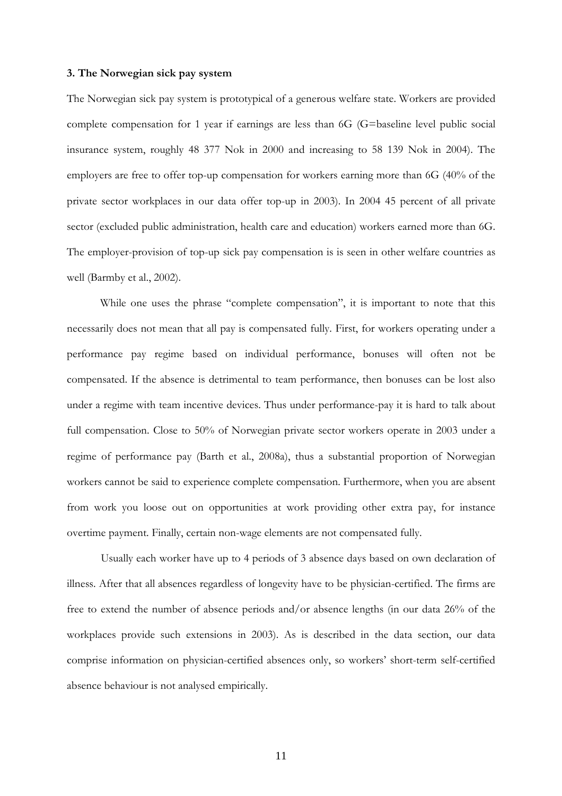#### **3. The Norwegian sick pay system**

The Norwegian sick pay system is prototypical of a generous welfare state. Workers are provided complete compensation for 1 year if earnings are less than 6G (G=baseline level public social insurance system, roughly 48 377 Nok in 2000 and increasing to 58 139 Nok in 2004). The employers are free to offer top-up compensation for workers earning more than 6G (40% of the private sector workplaces in our data offer top-up in 2003). In 2004 45 percent of all private sector (excluded public administration, health care and education) workers earned more than 6G. The employer-provision of top-up sick pay compensation is is seen in other welfare countries as well (Barmby et al., 2002).

 While one uses the phrase "complete compensation", it is important to note that this necessarily does not mean that all pay is compensated fully. First, for workers operating under a performance pay regime based on individual performance, bonuses will often not be compensated. If the absence is detrimental to team performance, then bonuses can be lost also under a regime with team incentive devices. Thus under performance-pay it is hard to talk about full compensation. Close to 50% of Norwegian private sector workers operate in 2003 under a regime of performance pay (Barth et al., 2008a), thus a substantial proportion of Norwegian workers cannot be said to experience complete compensation. Furthermore, when you are absent from work you loose out on opportunities at work providing other extra pay, for instance overtime payment. Finally, certain non-wage elements are not compensated fully.

Usually each worker have up to 4 periods of 3 absence days based on own declaration of illness. After that all absences regardless of longevity have to be physician-certified. The firms are free to extend the number of absence periods and/or absence lengths (in our data 26% of the workplaces provide such extensions in 2003). As is described in the data section, our data comprise information on physician-certified absences only, so workers' short-term self-certified absence behaviour is not analysed empirically.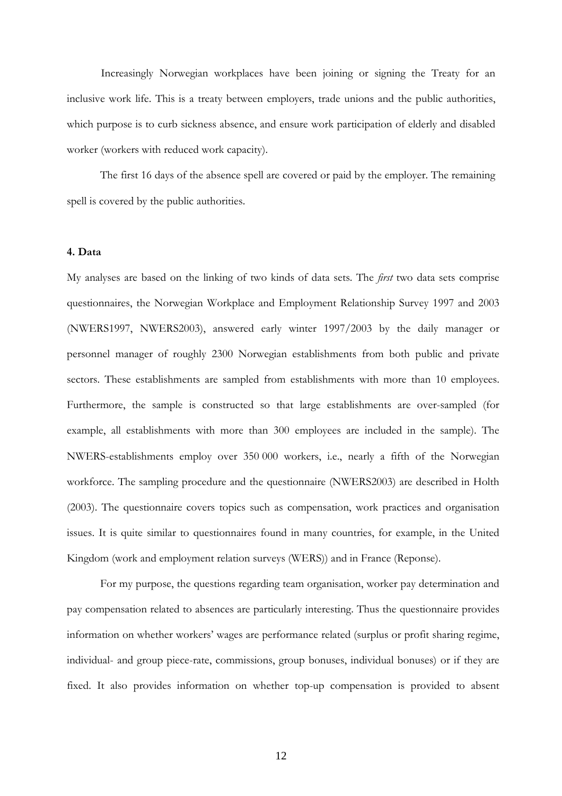Increasingly Norwegian workplaces have been joining or signing the Treaty for an inclusive work life. This is a treaty between employers, trade unions and the public authorities, which purpose is to curb sickness absence, and ensure work participation of elderly and disabled worker (workers with reduced work capacity).

The first 16 days of the absence spell are covered or paid by the employer. The remaining spell is covered by the public authorities.

#### **4. Data**

My analyses are based on the linking of two kinds of data sets. The *first* two data sets comprise questionnaires, the Norwegian Workplace and Employment Relationship Survey 1997 and 2003 (NWERS1997, NWERS2003), answered early winter 1997/2003 by the daily manager or personnel manager of roughly 2300 Norwegian establishments from both public and private sectors. These establishments are sampled from establishments with more than 10 employees. Furthermore, the sample is constructed so that large establishments are over-sampled (for example, all establishments with more than 300 employees are included in the sample). The NWERS-establishments employ over 350 000 workers, i.e., nearly a fifth of the Norwegian workforce. The sampling procedure and the questionnaire (NWERS2003) are described in Holth (2003). The questionnaire covers topics such as compensation, work practices and organisation issues. It is quite similar to questionnaires found in many countries, for example, in the United Kingdom (work and employment relation surveys (WERS)) and in France (Reponse).

For my purpose, the questions regarding team organisation, worker pay determination and pay compensation related to absences are particularly interesting. Thus the questionnaire provides information on whether workers' wages are performance related (surplus or profit sharing regime, individual- and group piece-rate, commissions, group bonuses, individual bonuses) or if they are fixed. It also provides information on whether top-up compensation is provided to absent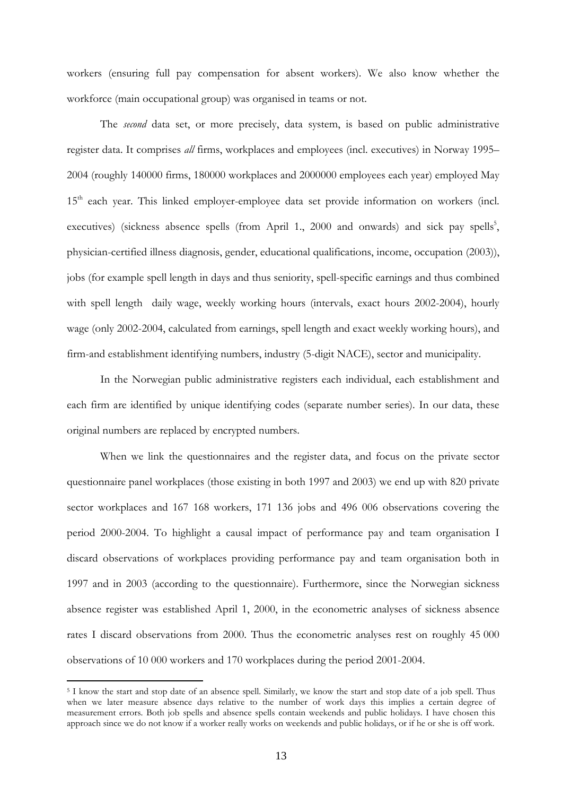workers (ensuring full pay compensation for absent workers). We also know whether the workforce (main occupational group) was organised in teams or not.

The *second* data set, or more precisely, data system, is based on public administrative register data. It comprises *all* firms, workplaces and employees (incl. executives) in Norway 1995– 2004 (roughly 140000 firms, 180000 workplaces and 2000000 employees each year) employed May 15<sup>th</sup> each year. This linked employer-employee data set provide information on workers (incl. executives) (sickness absence spells (from April 1., 2000 and onwards) and sick pay spells<sup>5</sup>, physician-certified illness diagnosis, gender, educational qualifications, income, occupation (2003)), jobs (for example spell length in days and thus seniority, spell-specific earnings and thus combined with spell length daily wage, weekly working hours (intervals, exact hours 2002-2004), hourly wage (only 2002-2004, calculated from earnings, spell length and exact weekly working hours), and firm-and establishment identifying numbers, industry (5-digit NACE), sector and municipality.

In the Norwegian public administrative registers each individual, each establishment and each firm are identified by unique identifying codes (separate number series). In our data, these original numbers are replaced by encrypted numbers.

When we link the questionnaires and the register data, and focus on the private sector questionnaire panel workplaces (those existing in both 1997 and 2003) we end up with 820 private sector workplaces and 167 168 workers, 171 136 jobs and 496 006 observations covering the period 2000-2004. To highlight a causal impact of performance pay and team organisation I discard observations of workplaces providing performance pay and team organisation both in 1997 and in 2003 (according to the questionnaire). Furthermore, since the Norwegian sickness absence register was established April 1, 2000, in the econometric analyses of sickness absence rates I discard observations from 2000. Thus the econometric analyses rest on roughly 45 000 observations of 10 000 workers and 170 workplaces during the period 2001-2004.

 $\overline{a}$ 

<sup>5</sup> I know the start and stop date of an absence spell. Similarly, we know the start and stop date of a job spell. Thus when we later measure absence days relative to the number of work days this implies a certain degree of measurement errors. Both job spells and absence spells contain weekends and public holidays. I have chosen this approach since we do not know if a worker really works on weekends and public holidays, or if he or she is off work.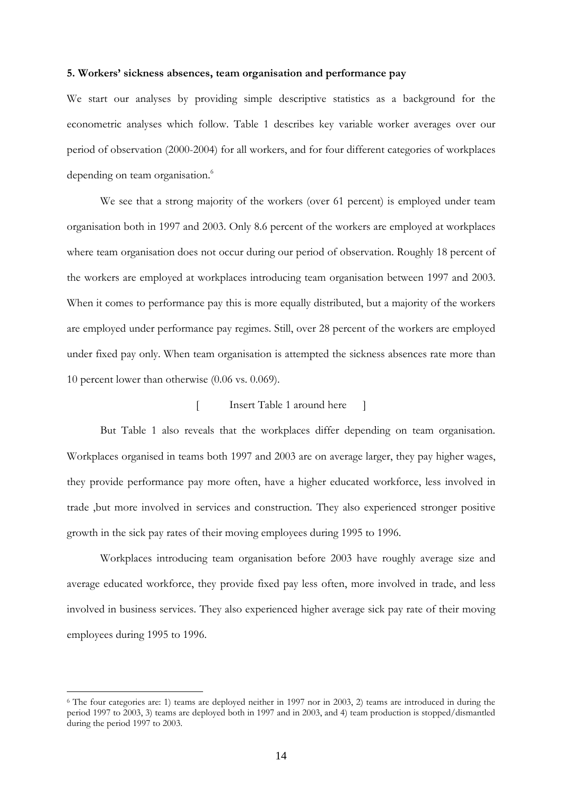# **5. Workers' sickness absences, team organisation and performance pay**

We start our analyses by providing simple descriptive statistics as a background for the econometric analyses which follow. Table 1 describes key variable worker averages over our period of observation (2000-2004) for all workers, and for four different categories of workplaces depending on team organisation.<sup>6</sup>

We see that a strong majority of the workers (over 61 percent) is employed under team organisation both in 1997 and 2003. Only 8.6 percent of the workers are employed at workplaces where team organisation does not occur during our period of observation. Roughly 18 percent of the workers are employed at workplaces introducing team organisation between 1997 and 2003. When it comes to performance pay this is more equally distributed, but a majority of the workers are employed under performance pay regimes. Still, over 28 percent of the workers are employed under fixed pay only. When team organisation is attempted the sickness absences rate more than 10 percent lower than otherwise (0.06 vs. 0.069).

# [ Insert Table 1 around here ]

 But Table 1 also reveals that the workplaces differ depending on team organisation. Workplaces organised in teams both 1997 and 2003 are on average larger, they pay higher wages, they provide performance pay more often, have a higher educated workforce, less involved in trade ,but more involved in services and construction. They also experienced stronger positive growth in the sick pay rates of their moving employees during 1995 to 1996.

Workplaces introducing team organisation before 2003 have roughly average size and average educated workforce, they provide fixed pay less often, more involved in trade, and less involved in business services. They also experienced higher average sick pay rate of their moving employees during 1995 to 1996.

 $\overline{a}$ 

<sup>6</sup> The four categories are: 1) teams are deployed neither in 1997 nor in 2003, 2) teams are introduced in during the period 1997 to 2003, 3) teams are deployed both in 1997 and in 2003, and 4) team production is stopped/dismantled during the period 1997 to 2003.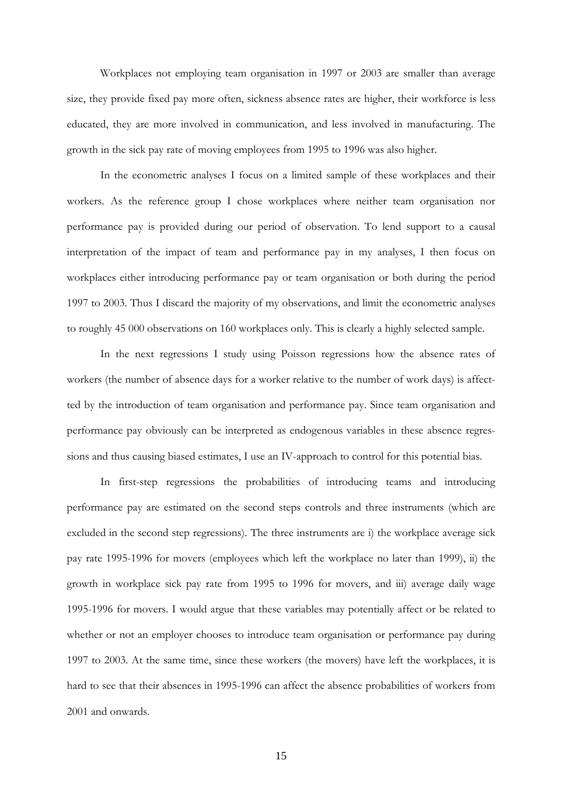Workplaces not employing team organisation in 1997 or 2003 are smaller than average size, they provide fixed pay more often, sickness absence rates are higher, their workforce is less educated, they are more involved in communication, and less involved in manufacturing. The growth in the sick pay rate of moving employees from 1995 to 1996 was also higher.

 In the econometric analyses I focus on a limited sample of these workplaces and their workers. As the reference group I chose workplaces where neither team organisation nor performance pay is provided during our period of observation. To lend support to a causal interpretation of the impact of team and performance pay in my analyses, I then focus on workplaces either introducing performance pay or team organisation or both during the period 1997 to 2003. Thus I discard the majority of my observations, and limit the econometric analyses to roughly 45 000 observations on 160 workplaces only. This is clearly a highly selected sample.

 In the next regressions I study using Poisson regressions how the absence rates of workers (the number of absence days for a worker relative to the number of work days) is affectted by the introduction of team organisation and performance pay. Since team organisation and performance pay obviously can be interpreted as endogenous variables in these absence regressions and thus causing biased estimates, I use an IV-approach to control for this potential bias.

In first-step regressions the probabilities of introducing teams and introducing performance pay are estimated on the second steps controls and three instruments (which are excluded in the second step regressions). The three instruments are i) the workplace average sick pay rate 1995-1996 for movers (employees which left the workplace no later than 1999), ii) the growth in workplace sick pay rate from 1995 to 1996 for movers, and iii) average daily wage 1995-1996 for movers. I would argue that these variables may potentially affect or be related to whether or not an employer chooses to introduce team organisation or performance pay during 1997 to 2003. At the same time, since these workers (the movers) have left the workplaces, it is hard to see that their absences in 1995-1996 can affect the absence probabilities of workers from 2001 and onwards.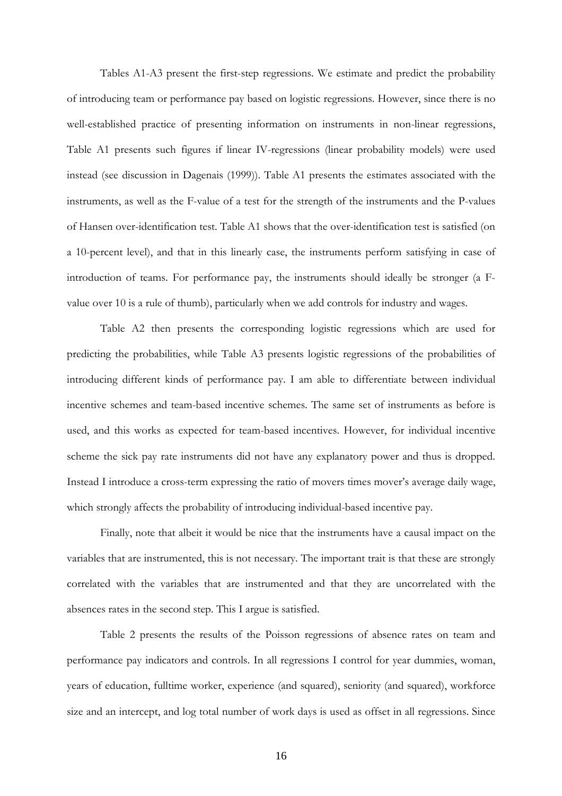Tables A1-A3 present the first-step regressions. We estimate and predict the probability of introducing team or performance pay based on logistic regressions. However, since there is no well-established practice of presenting information on instruments in non-linear regressions, Table A1 presents such figures if linear IV-regressions (linear probability models) were used instead (see discussion in Dagenais (1999)). Table A1 presents the estimates associated with the instruments, as well as the F-value of a test for the strength of the instruments and the P-values of Hansen over-identification test. Table A1 shows that the over-identification test is satisfied (on a 10-percent level), and that in this linearly case, the instruments perform satisfying in case of introduction of teams. For performance pay, the instruments should ideally be stronger (a Fvalue over 10 is a rule of thumb), particularly when we add controls for industry and wages.

Table A2 then presents the corresponding logistic regressions which are used for predicting the probabilities, while Table A3 presents logistic regressions of the probabilities of introducing different kinds of performance pay. I am able to differentiate between individual incentive schemes and team-based incentive schemes. The same set of instruments as before is used, and this works as expected for team-based incentives. However, for individual incentive scheme the sick pay rate instruments did not have any explanatory power and thus is dropped. Instead I introduce a cross-term expressing the ratio of movers times mover's average daily wage, which strongly affects the probability of introducing individual-based incentive pay.

Finally, note that albeit it would be nice that the instruments have a causal impact on the variables that are instrumented, this is not necessary. The important trait is that these are strongly correlated with the variables that are instrumented and that they are uncorrelated with the absences rates in the second step. This I argue is satisfied.

 Table 2 presents the results of the Poisson regressions of absence rates on team and performance pay indicators and controls. In all regressions I control for year dummies, woman, years of education, fulltime worker, experience (and squared), seniority (and squared), workforce size and an intercept, and log total number of work days is used as offset in all regressions. Since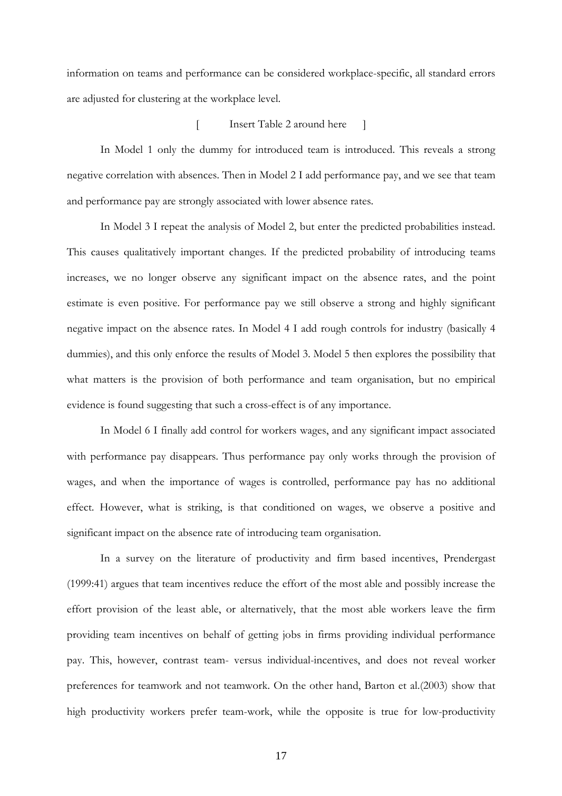information on teams and performance can be considered workplace-specific, all standard errors are adjusted for clustering at the workplace level.

## [ Insert Table 2 around here ]

In Model 1 only the dummy for introduced team is introduced. This reveals a strong negative correlation with absences. Then in Model 2 I add performance pay, and we see that team and performance pay are strongly associated with lower absence rates.

In Model 3 I repeat the analysis of Model 2, but enter the predicted probabilities instead. This causes qualitatively important changes. If the predicted probability of introducing teams increases, we no longer observe any significant impact on the absence rates, and the point estimate is even positive. For performance pay we still observe a strong and highly significant negative impact on the absence rates. In Model 4 I add rough controls for industry (basically 4 dummies), and this only enforce the results of Model 3. Model 5 then explores the possibility that what matters is the provision of both performance and team organisation, but no empirical evidence is found suggesting that such a cross-effect is of any importance.

In Model 6 I finally add control for workers wages, and any significant impact associated with performance pay disappears. Thus performance pay only works through the provision of wages, and when the importance of wages is controlled, performance pay has no additional effect. However, what is striking, is that conditioned on wages, we observe a positive and significant impact on the absence rate of introducing team organisation.

In a survey on the literature of productivity and firm based incentives, Prendergast (1999:41) argues that team incentives reduce the effort of the most able and possibly increase the effort provision of the least able, or alternatively, that the most able workers leave the firm providing team incentives on behalf of getting jobs in firms providing individual performance pay. This, however, contrast team- versus individual-incentives, and does not reveal worker preferences for teamwork and not teamwork. On the other hand, Barton et al.(2003) show that high productivity workers prefer team-work, while the opposite is true for low-productivity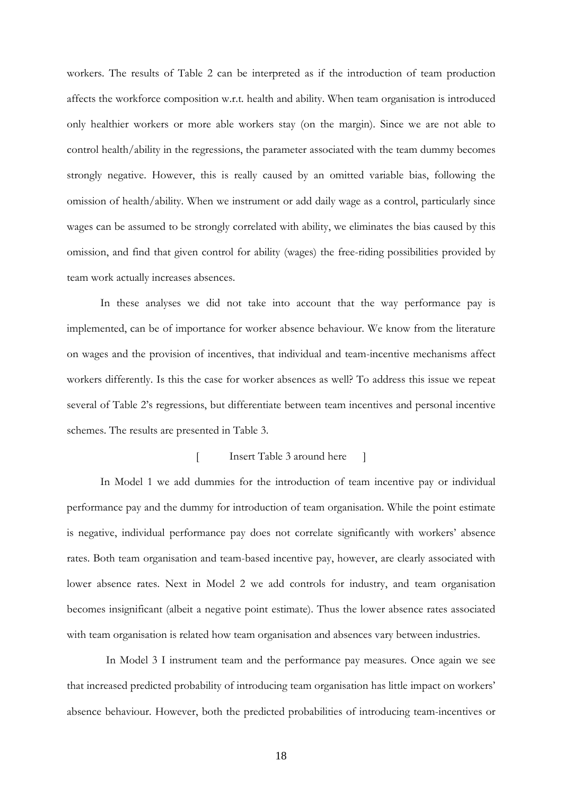workers. The results of Table 2 can be interpreted as if the introduction of team production affects the workforce composition w.r.t. health and ability. When team organisation is introduced only healthier workers or more able workers stay (on the margin). Since we are not able to control health/ability in the regressions, the parameter associated with the team dummy becomes strongly negative. However, this is really caused by an omitted variable bias, following the omission of health/ability. When we instrument or add daily wage as a control, particularly since wages can be assumed to be strongly correlated with ability, we eliminates the bias caused by this omission, and find that given control for ability (wages) the free-riding possibilities provided by team work actually increases absences.

In these analyses we did not take into account that the way performance pay is implemented, can be of importance for worker absence behaviour. We know from the literature on wages and the provision of incentives, that individual and team-incentive mechanisms affect workers differently. Is this the case for worker absences as well? To address this issue we repeat several of Table 2's regressions, but differentiate between team incentives and personal incentive schemes. The results are presented in Table 3.

#### [ Insert Table 3 around here ]

In Model 1 we add dummies for the introduction of team incentive pay or individual performance pay and the dummy for introduction of team organisation. While the point estimate is negative, individual performance pay does not correlate significantly with workers' absence rates. Both team organisation and team-based incentive pay, however, are clearly associated with lower absence rates. Next in Model 2 we add controls for industry, and team organisation becomes insignificant (albeit a negative point estimate). Thus the lower absence rates associated with team organisation is related how team organisation and absences vary between industries.

 In Model 3 I instrument team and the performance pay measures. Once again we see that increased predicted probability of introducing team organisation has little impact on workers' absence behaviour. However, both the predicted probabilities of introducing team-incentives or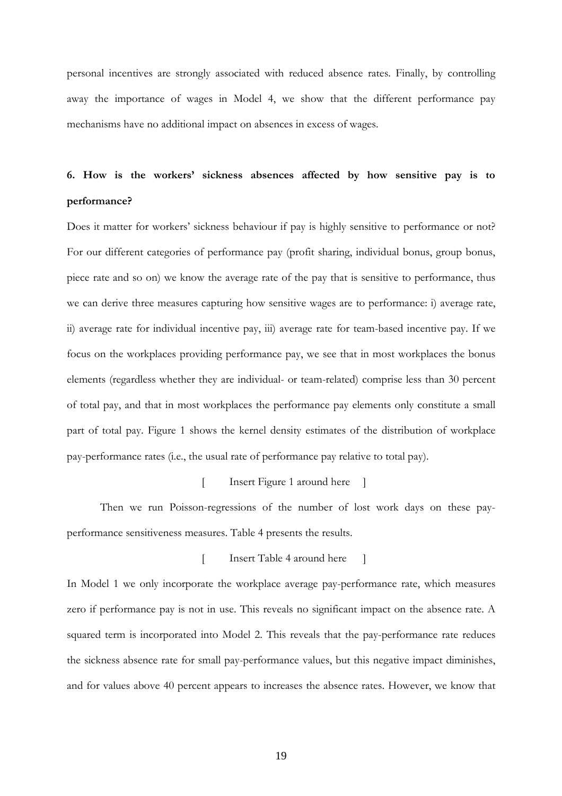personal incentives are strongly associated with reduced absence rates. Finally, by controlling away the importance of wages in Model 4, we show that the different performance pay mechanisms have no additional impact on absences in excess of wages.

# **6. How is the workers' sickness absences affected by how sensitive pay is to performance?**

Does it matter for workers' sickness behaviour if pay is highly sensitive to performance or not? For our different categories of performance pay (profit sharing, individual bonus, group bonus, piece rate and so on) we know the average rate of the pay that is sensitive to performance, thus we can derive three measures capturing how sensitive wages are to performance: i) average rate, ii) average rate for individual incentive pay, iii) average rate for team-based incentive pay. If we focus on the workplaces providing performance pay, we see that in most workplaces the bonus elements (regardless whether they are individual- or team-related) comprise less than 30 percent of total pay, and that in most workplaces the performance pay elements only constitute a small part of total pay. Figure 1 shows the kernel density estimates of the distribution of workplace pay-performance rates (i.e., the usual rate of performance pay relative to total pay).

[ Insert Figure 1 around here ]

Then we run Poisson-regressions of the number of lost work days on these payperformance sensitiveness measures. Table 4 presents the results.

[ Insert Table 4 around here ]

In Model 1 we only incorporate the workplace average pay-performance rate, which measures zero if performance pay is not in use. This reveals no significant impact on the absence rate. A squared term is incorporated into Model 2. This reveals that the pay-performance rate reduces the sickness absence rate for small pay-performance values, but this negative impact diminishes, and for values above 40 percent appears to increases the absence rates. However, we know that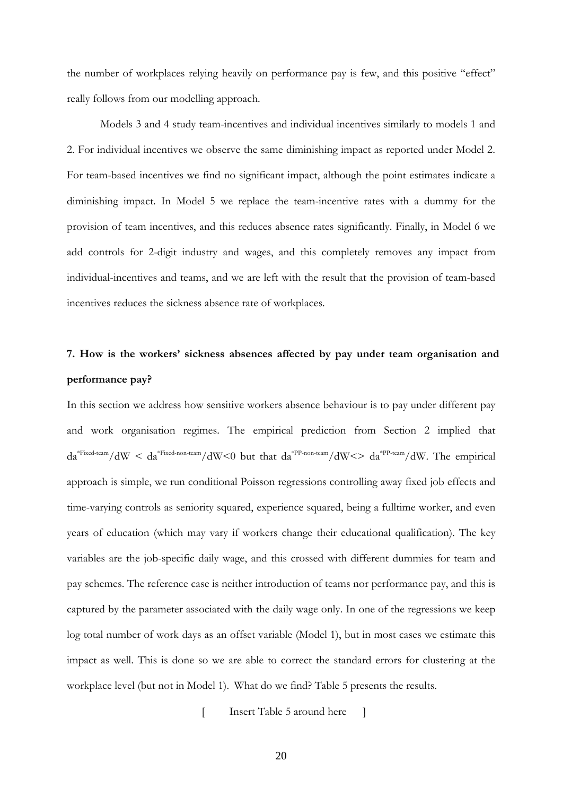the number of workplaces relying heavily on performance pay is few, and this positive "effect" really follows from our modelling approach.

Models 3 and 4 study team-incentives and individual incentives similarly to models 1 and 2. For individual incentives we observe the same diminishing impact as reported under Model 2. For team-based incentives we find no significant impact, although the point estimates indicate a diminishing impact. In Model 5 we replace the team-incentive rates with a dummy for the provision of team incentives, and this reduces absence rates significantly. Finally, in Model 6 we add controls for 2-digit industry and wages, and this completely removes any impact from individual-incentives and teams, and we are left with the result that the provision of team-based incentives reduces the sickness absence rate of workplaces.

# **7. How is the workers' sickness absences affected by pay under team organisation and performance pay?**

In this section we address how sensitive workers absence behaviour is to pay under different pay and work organisation regimes. The empirical prediction from Section 2 implied that  $da^{*Fixed-team}/dW < da^{*Fixed-non-team}/dW < 0$  but that  $da^{*PP-non-team}/dW < a^{*PP-team}/dW$ . The empirical approach is simple, we run conditional Poisson regressions controlling away fixed job effects and time-varying controls as seniority squared, experience squared, being a fulltime worker, and even years of education (which may vary if workers change their educational qualification). The key variables are the job-specific daily wage, and this crossed with different dummies for team and pay schemes. The reference case is neither introduction of teams nor performance pay, and this is captured by the parameter associated with the daily wage only. In one of the regressions we keep log total number of work days as an offset variable (Model 1), but in most cases we estimate this impact as well. This is done so we are able to correct the standard errors for clustering at the workplace level (but not in Model 1). What do we find? Table 5 presents the results.

[ Insert Table 5 around here ]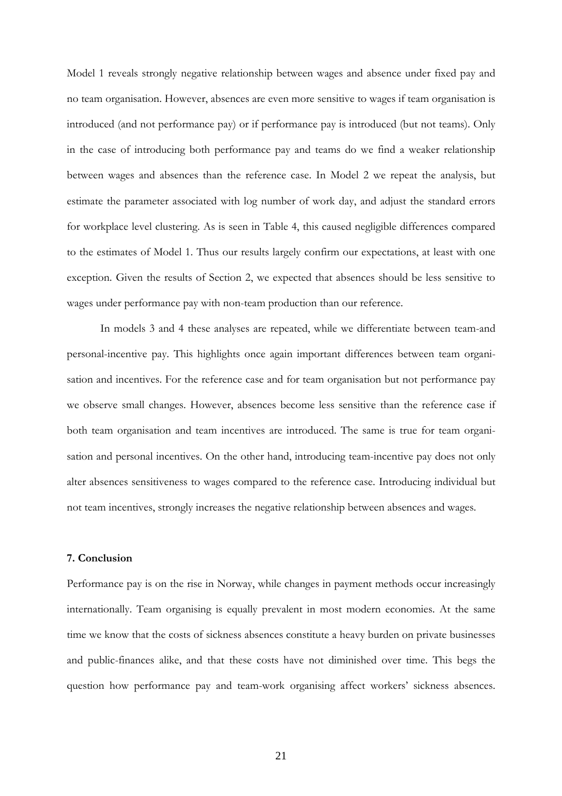Model 1 reveals strongly negative relationship between wages and absence under fixed pay and no team organisation. However, absences are even more sensitive to wages if team organisation is introduced (and not performance pay) or if performance pay is introduced (but not teams). Only in the case of introducing both performance pay and teams do we find a weaker relationship between wages and absences than the reference case. In Model 2 we repeat the analysis, but estimate the parameter associated with log number of work day, and adjust the standard errors for workplace level clustering. As is seen in Table 4, this caused negligible differences compared to the estimates of Model 1. Thus our results largely confirm our expectations, at least with one exception. Given the results of Section 2, we expected that absences should be less sensitive to wages under performance pay with non-team production than our reference.

 In models 3 and 4 these analyses are repeated, while we differentiate between team-and personal-incentive pay. This highlights once again important differences between team organisation and incentives. For the reference case and for team organisation but not performance pay we observe small changes. However, absences become less sensitive than the reference case if both team organisation and team incentives are introduced. The same is true for team organisation and personal incentives. On the other hand, introducing team-incentive pay does not only alter absences sensitiveness to wages compared to the reference case. Introducing individual but not team incentives, strongly increases the negative relationship between absences and wages.

# **7. Conclusion**

Performance pay is on the rise in Norway, while changes in payment methods occur increasingly internationally. Team organising is equally prevalent in most modern economies. At the same time we know that the costs of sickness absences constitute a heavy burden on private businesses and public-finances alike, and that these costs have not diminished over time. This begs the question how performance pay and team-work organising affect workers' sickness absences.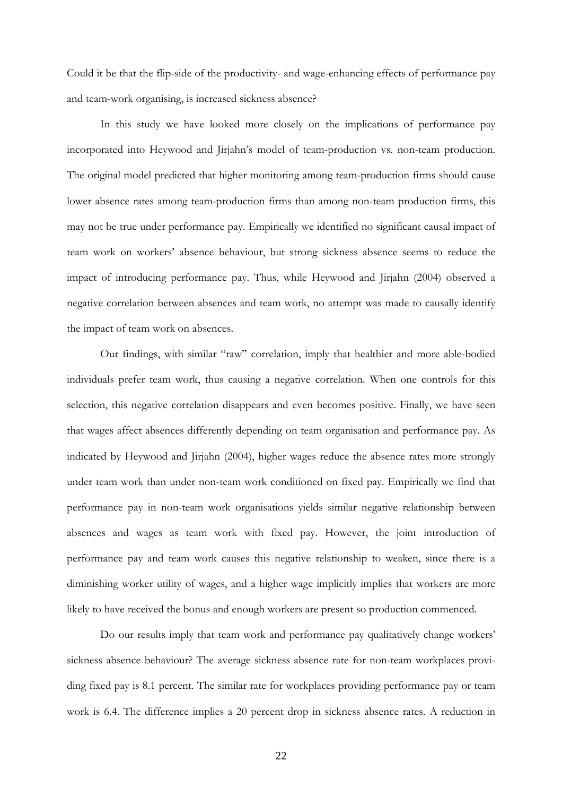Could it be that the flip-side of the productivity- and wage-enhancing effects of performance pay and team-work organising, is increased sickness absence?

In this study we have looked more closely on the implications of performance pay incorporated into Heywood and Jirjahn's model of team-production vs. non-team production. The original model predicted that higher monitoring among team-production firms should cause lower absence rates among team-production firms than among non-team production firms, this may not be true under performance pay. Empirically we identified no significant causal impact of team work on workers' absence behaviour, but strong sickness absence seems to reduce the impact of introducing performance pay. Thus, while Heywood and Jirjahn (2004) observed a negative correlation between absences and team work, no attempt was made to causally identify the impact of team work on absences.

Our findings, with similar "raw" correlation, imply that healthier and more able-bodied individuals prefer team work, thus causing a negative correlation. When one controls for this selection, this negative correlation disappears and even becomes positive. Finally, we have seen that wages affect absences differently depending on team organisation and performance pay. As indicated by Heywood and Jirjahn (2004), higher wages reduce the absence rates more strongly under team work than under non-team work conditioned on fixed pay. Empirically we find that performance pay in non-team work organisations yields similar negative relationship between absences and wages as team work with fixed pay. However, the joint introduction of performance pay and team work causes this negative relationship to weaken, since there is a diminishing worker utility of wages, and a higher wage implicitly implies that workers are more likely to have received the bonus and enough workers are present so production commenced.

 Do our results imply that team work and performance pay qualitatively change workers' sickness absence behaviour? The average sickness absence rate for non-team workplaces providing fixed pay is 8.1 percent. The similar rate for workplaces providing performance pay or team work is 6.4. The difference implies a 20 percent drop in sickness absence rates. A reduction in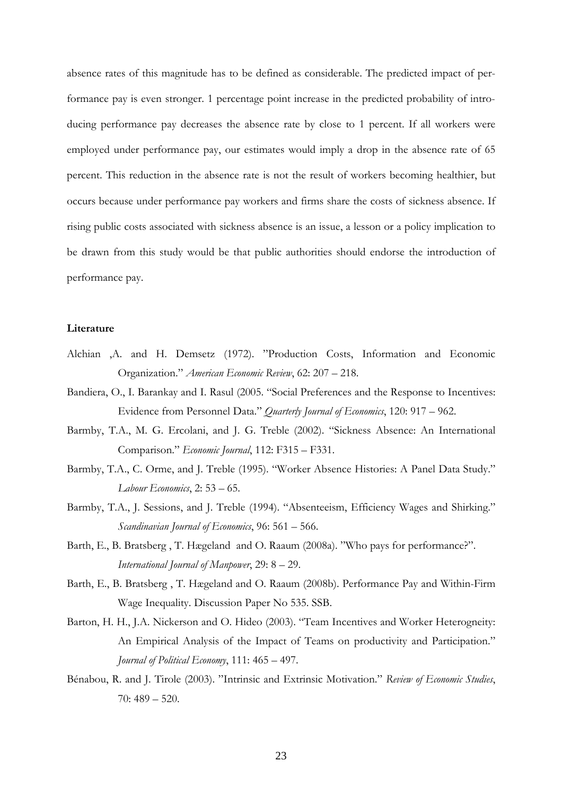absence rates of this magnitude has to be defined as considerable. The predicted impact of performance pay is even stronger. 1 percentage point increase in the predicted probability of introducing performance pay decreases the absence rate by close to 1 percent. If all workers were employed under performance pay, our estimates would imply a drop in the absence rate of 65 percent. This reduction in the absence rate is not the result of workers becoming healthier, but occurs because under performance pay workers and firms share the costs of sickness absence. If rising public costs associated with sickness absence is an issue, a lesson or a policy implication to be drawn from this study would be that public authorities should endorse the introduction of performance pay.

#### **Literature**

- Alchian ,A. and H. Demsetz (1972). "Production Costs, Information and Economic Organization." *American Economic Review*, 62: 207 – 218.
- Bandiera, O., I. Barankay and I. Rasul (2005. "Social Preferences and the Response to Incentives: Evidence from Personnel Data." *Quarterly Journal of Economics*, 120: 917 – 962.
- Barmby, T.A., M. G. Ercolani, and J. G. Treble (2002). "Sickness Absence: An International Comparison." *Economic Journal*, 112: F315 – F331.
- Barmby, T.A., C. Orme, and J. Treble (1995). "Worker Absence Histories: A Panel Data Study." *Labour Economics*, 2: 53 – 65.
- Barmby, T.A., J. Sessions, and J. Treble (1994). "Absenteeism, Efficiency Wages and Shirking." *Scandinavian Journal of Economics*, 96: 561 – 566.
- Barth, E., B. Bratsberg , T. Hægeland and O. Raaum (2008a). "Who pays for performance?". *International Journal of Manpower*, 29: 8 – 29.
- Barth, E., B. Bratsberg , T. Hægeland and O. Raaum (2008b). Performance Pay and Within-Firm Wage Inequality. Discussion Paper No 535. SSB.
- Barton, H. H., J.A. Nickerson and O. Hideo (2003). "Team Incentives and Worker Heterogneity: An Empirical Analysis of the Impact of Teams on productivity and Participation." *Journal of Political Economy*, 111: 465 – 497.
- Bénabou, R. and J. Tirole (2003). "Intrinsic and Extrinsic Motivation." *Review of Economic Studies*, 70: 489 – 520.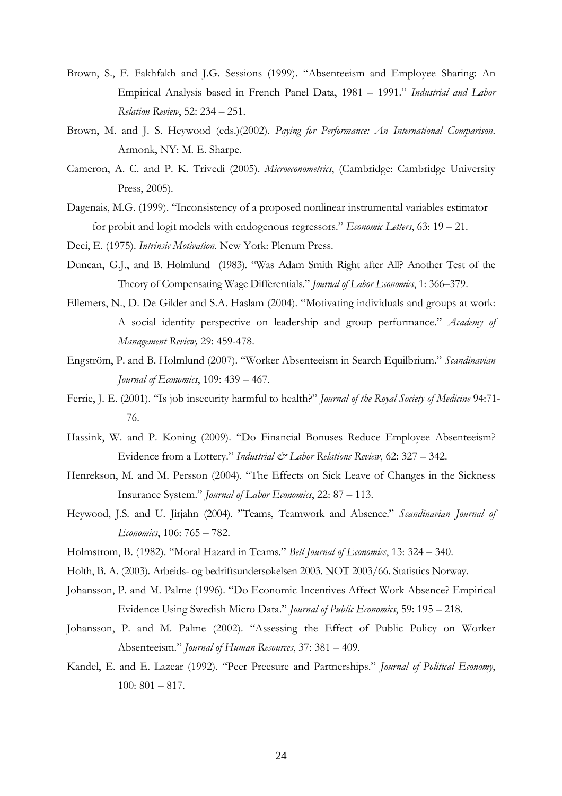- Brown, S., F. Fakhfakh and J.G. Sessions (1999). "Absenteeism and Employee Sharing: An Empirical Analysis based in French Panel Data, 1981 – 1991." *Industrial and Labor Relation Review*, 52: 234 – 251.
- Brown, M. and J. S. Heywood (eds.)(2002). *Paying for Performance: An International Comparison*. Armonk, NY: M. E. Sharpe.
- Cameron, A. C. and P. K. Trivedi (2005). *Microeconometrics*, (Cambridge: Cambridge University Press, 2005).
- Dagenais, M.G. (1999). "Inconsistency of a proposed nonlinear instrumental variables estimator for probit and logit models with endogenous regressors." *Economic Letters*, 63: 19 – 21.
- Deci, E. (1975). *Intrinsic Motivation*. New York: Plenum Press.
- Duncan, G.J., and B. Holmlund (1983). "Was Adam Smith Right after All? Another Test of the Theory of Compensating Wage Differentials." *Journal of Labor Economics*, 1: 366–379.
- Ellemers, N., D. De Gilder and S.A. Haslam (2004). "Motivating individuals and groups at work: A social identity perspective on leadership and group performance." *Academy of Management Review,* 29: 459-478.
- Engström, P. and B. Holmlund (2007). "Worker Absenteeism in Search Equilbrium." *Scandinavian Journal of Economics*, 109: 439 – 467.
- Ferrie, J. E. (2001). "Is job insecurity harmful to health?" *Journal of the Royal Society of Medicine* 94:71- 76.
- Hassink, W. and P. Koning (2009). "Do Financial Bonuses Reduce Employee Absenteeism? Evidence from a Lottery." *Industrial & Labor Relations Review*, 62: 327 – 342.
- Henrekson, M. and M. Persson (2004). "The Effects on Sick Leave of Changes in the Sickness Insurance System." *Journal of Labor Economics*, 22: 87 – 113.
- Heywood, J.S. and U. Jirjahn (2004). "Teams, Teamwork and Absence." *Scandinavian Journal of Economics*, 106: 765 – 782.
- Holmstrom, B. (1982). "Moral Hazard in Teams." *Bell Journal of Economics*, 13: 324 340.
- Holth, B. A. (2003). Arbeids- og bedriftsundersøkelsen 2003. NOT 2003/66. Statistics Norway.
- Johansson, P. and M. Palme (1996). "Do Economic Incentives Affect Work Absence? Empirical Evidence Using Swedish Micro Data." *Journal of Public Economics*, 59: 195 – 218.
- Johansson, P. and M. Palme (2002). "Assessing the Effect of Public Policy on Worker Absenteeism." *Journal of Human Resources*, 37: 381 – 409.
- Kandel, E. and E. Lazear (1992). "Peer Preesure and Partnerships." *Journal of Political Economy*, 100: 801 – 817.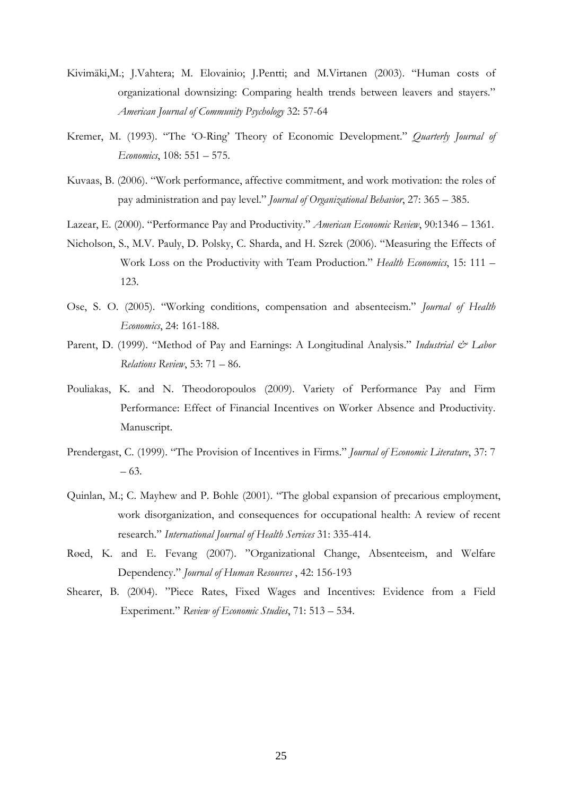- Kivimäki,M.; J.Vahtera; M. Elovainio; J.Pentti; and M.Virtanen (2003). "Human costs of organizational downsizing: Comparing health trends between leavers and stayers." *American Journal of Community Psychology* 32: 57-64
- Kremer, M. (1993). "The 'O-Ring' Theory of Economic Development." *Quarterly Journal of Economics*, 108: 551 – 575.
- Kuvaas, B. (2006). "Work performance, affective commitment, and work motivation: the roles of pay administration and pay level." *Journal of Organizational Behavior*, 27: 365 – 385.
- Lazear, E. (2000). "Performance Pay and Productivity." *American Economic Review*, 90:1346 1361.
- Nicholson, S., M.V. Pauly, D. Polsky, C. Sharda, and H. Szrek (2006). "Measuring the Effects of Work Loss on the Productivity with Team Production." *Health Economics*, 15: 111 – 123.
- Ose, S. O. (2005). "Working conditions, compensation and absenteeism." *Journal of Health Economics*, 24: 161-188.
- Parent, D. (1999). "Method of Pay and Earnings: A Longitudinal Analysis." *Industrial & Labor Relations Review*, 53: 71 – 86.
- Pouliakas, K. and N. Theodoropoulos (2009). Variety of Performance Pay and Firm Performance: Effect of Financial Incentives on Worker Absence and Productivity. Manuscript.
- Prendergast, C. (1999). "The Provision of Incentives in Firms." *Journal of Economic Literature*, 37: 7 – 63.
- Quinlan, M.; C. Mayhew and P. Bohle (2001). "The global expansion of precarious employment, work disorganization, and consequences for occupational health: A review of recent research." *International Journal of Health Services* 31: 335-414.
- Røed, K. and E. Fevang (2007). "Organizational Change, Absenteeism, and Welfare Dependency." *Journal of Human Resources* , 42: 156-193
- Shearer, B. (2004). "Piece Rates, Fixed Wages and Incentives: Evidence from a Field Experiment." *Review of Economic Studies*, 71: 513 – 534.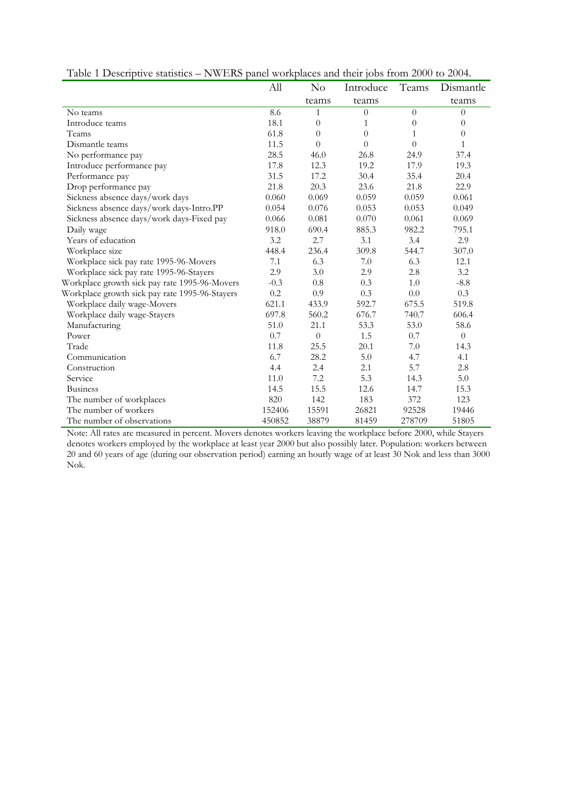| <b>F</b> able T Descriptive statistics $-1$ (will no patter workplaces and their jobs from 2000 to 2007. | All    | No             | Introduce      | Teams          | Dismantle      |
|----------------------------------------------------------------------------------------------------------|--------|----------------|----------------|----------------|----------------|
|                                                                                                          |        |                |                |                |                |
|                                                                                                          |        | teams          | teams          |                | teams          |
| No teams                                                                                                 | 8.6    | 1              | $\overline{0}$ | $\theta$       | $\overline{0}$ |
| Introduce teams                                                                                          | 18.1   | $\theta$       | 1              | $\theta$       | $\theta$       |
| Teams                                                                                                    | 61.8   | $\overline{0}$ | $\Omega$       | $\mathbf{1}$   | $\overline{0}$ |
| Dismantle teams                                                                                          | 11.5   | $\overline{0}$ | $\Omega$       | $\overline{0}$ | $\mathbf{1}$   |
| No performance pay                                                                                       | 28.5   | 46.0           | 26.8           | 24.9           | 37.4           |
| Introduce performance pay                                                                                | 17.8   | 12.3           | 19.2           | 17.9           | 19.3           |
| Performance pay                                                                                          | 31.5   | 17.2           | 30.4           | 35.4           | 20.4           |
| Drop performance pay                                                                                     | 21.8   | 20.3           | 23.6           | 21.8           | 22.9           |
| Sickness absence days/work days                                                                          | 0.060  | 0.069          | 0.059          | 0.059          | 0.061          |
| Sickness absence days/work days-Intro.PP                                                                 | 0.054  | 0.076          | 0.053          | 0.053          | 0.049          |
| Sickness absence days/work days-Fixed pay                                                                | 0.066  | 0.081          | 0.070          | 0.061          | 0.069          |
| Daily wage                                                                                               | 918.0  | 690.4          | 885.3          | 982.2          | 795.1          |
| Years of education                                                                                       | 3.2    | 2.7            | 3.1            | 3.4            | 2.9            |
| Workplace size                                                                                           | 448.4  | 236.4          | 309.8          | 544.7          | 307.0          |
| Workplace sick pay rate 1995-96-Movers                                                                   | 7.1    | 6.3            | 7.0            | 6.3            | 12.1           |
| Workplace sick pay rate 1995-96-Stayers                                                                  | 2.9    | 3.0            | 2.9            | 2.8            | 3.2            |
| Workplace growth sick pay rate 1995-96-Movers                                                            | $-0.3$ | 0.8            | 0.3            | 1.0            | $-8.8$         |
| Workplace growth sick pay rate 1995-96-Stayers                                                           | 0.2    | 0.9            | 0.3            | $0.0\,$        | 0.3            |
| Workplace daily wage-Movers                                                                              | 621.1  | 433.9          | 592.7          | 675.5          | 519.8          |
| Workplace daily wage-Stayers                                                                             | 697.8  | 560.2          | 676.7          | 740.7          | 606.4          |
| Manufacturing                                                                                            | 51.0   | 21.1           | 53.3           | 53.0           | 58.6           |
| Power                                                                                                    | 0.7    | $\overline{0}$ | 1.5            | 0.7            | $\theta$       |
| Trade                                                                                                    | 11.8   | 25.5           | 20.1           | 7.0            | 14.3           |
| Communication                                                                                            | 6.7    | 28.2           | 5.0            | 4.7            | 4.1            |
| Construction                                                                                             | 4.4    | 2.4            | 2.1            | 5.7            | 2.8            |
| Service                                                                                                  | 11.0   | 7.2            | 5.3            | 14.3           | 5.0            |
| <b>Business</b>                                                                                          | 14.5   | 15.5           | 12.6           | 14.7           | 15.3           |
| The number of workplaces                                                                                 | 820    | 142            | 183            | 372            | 123            |
| The number of workers                                                                                    | 152406 | 15591          | 26821          | 92528          | 19446          |
| The number of observations                                                                               | 450852 | 38879          | 81459          | 278709         | 51805          |

Table 1 Descriptive statistics – NWERS panel workplaces and their jobs from 2000 to 2004.

Note: All rates are measured in percent. Movers denotes workers leaving the workplace before 2000, while Stayers denotes workers employed by the workplace at least year 2000 but also possibly later. Population: workers between 20 and 60 years of age (during our observation period) earning an hourly wage of at least 30 Nok and less than 3000 Nok.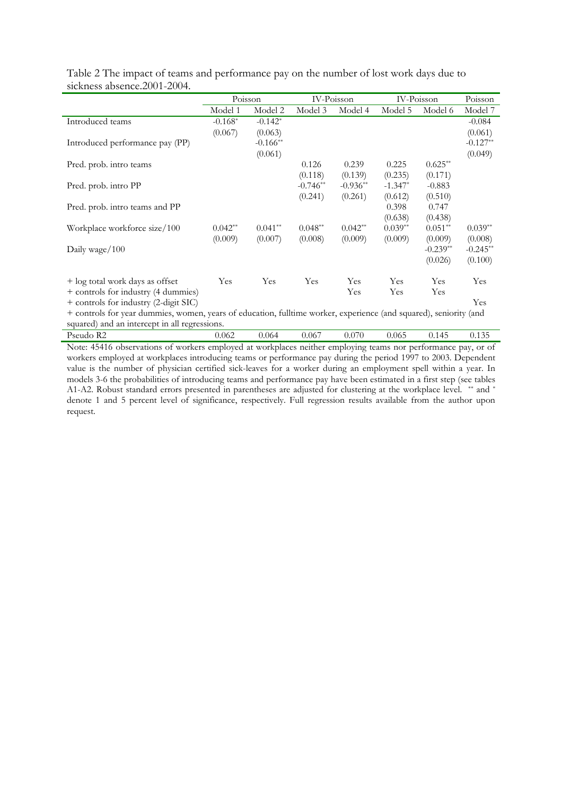|                                                                                                                   | Poisson   |                        | IV-Poisson |            | IV-Poisson |            | Poisson    |
|-------------------------------------------------------------------------------------------------------------------|-----------|------------------------|------------|------------|------------|------------|------------|
|                                                                                                                   | Model 1   | Model 2                | Model 3    | Model 4    | Model 5    | Model 6    | Model 7    |
| Introduced teams                                                                                                  | $-0.168*$ | $-0.142*$              |            |            |            |            | $-0.084$   |
|                                                                                                                   | (0.067)   | (0.063)                |            |            |            |            | (0.061)    |
| Introduced performance pay (PP)                                                                                   |           | $-0.166$ <sup>**</sup> |            |            |            |            | $-0.127**$ |
|                                                                                                                   |           | (0.061)                |            |            |            |            | (0.049)    |
| Pred. prob. intro teams                                                                                           |           |                        | 0.126      | 0.239      | 0.225      | $0.625**$  |            |
|                                                                                                                   |           |                        | (0.118)    | (0.139)    | (0.235)    | (0.171)    |            |
| Pred. prob. intro PP                                                                                              |           |                        | $-0.746**$ | $-0.936**$ | $-1.347*$  | $-0.883$   |            |
|                                                                                                                   |           |                        | (0.241)    | (0.261)    | (0.612)    | (0.510)    |            |
| Pred. prob. intro teams and PP                                                                                    |           |                        |            |            | 0.398      | 0.747      |            |
|                                                                                                                   |           |                        |            |            | (0.638)    | (0.438)    |            |
| Workplace workforce size/100                                                                                      | $0.042**$ | $0.041**$              | $0.048**$  | $0.042**$  | $0.039**$  | $0.051**$  | $0.039**$  |
|                                                                                                                   | (0.009)   | (0.007)                | (0.008)    | (0.009)    | (0.009)    | (0.009)    | (0.008)    |
| Daily wage/ $100$                                                                                                 |           |                        |            |            |            | $-0.239**$ | $-0.245**$ |
|                                                                                                                   |           |                        |            |            |            | (0.026)    | (0.100)    |
| + log total work days as offset                                                                                   | Yes       | Yes                    | Yes        | Yes        | Yes        | Yes        | Yes        |
| + controls for industry (4 dummies)                                                                               |           |                        |            | Yes        | Yes        | Yes        |            |
| + controls for industry (2-digit SIC)                                                                             |           |                        |            |            |            |            | Yes        |
| + controls for year dummies, women, years of education, fulltime worker, experience (and squared), seniority (and |           |                        |            |            |            |            |            |
| squared) and an intercept in all regressions.                                                                     |           |                        |            |            |            |            |            |

Table 2 The impact of teams and performance pay on the number of lost work days due to sickness absence.2001-2004.

Pseudo R2 0.062 0.064 0.067 0.070 0.065 0.145 0.135 Note: 45416 observations of workers employed at workplaces neither employing teams nor performance pay, or of workers employed at workplaces introducing teams or performance pay during the period 1997 to 2003. Dependent value is the number of physician certified sick-leaves for a worker during an employment spell within a year. In models 3-6 the probabilities of introducing teams and performance pay have been estimated in a first step (see tables A1-A2. Robust standard errors presented in parentheses are adjusted for clustering at the workplace level. \*\* and \* denote 1 and 5 percent level of significance, respectively. Full regression results available from the author upon request.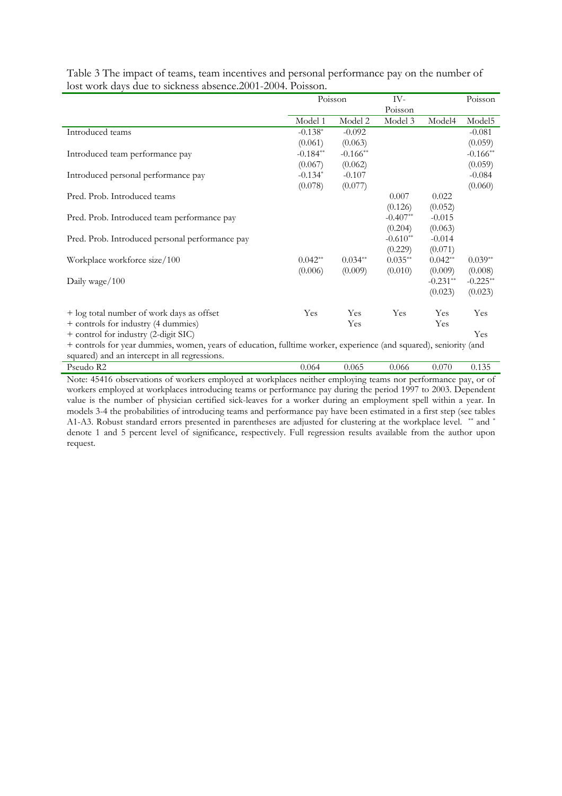|                                                                                                                   |            | Poisson                | IV-        |            | Poisson            |
|-------------------------------------------------------------------------------------------------------------------|------------|------------------------|------------|------------|--------------------|
|                                                                                                                   |            |                        | Poisson    |            |                    |
|                                                                                                                   | Model 1    | Model 2                | Model 3    | Model4     | Model <sub>5</sub> |
| Introduced teams                                                                                                  | $-0.138*$  | $-0.092$               |            |            | $-0.081$           |
|                                                                                                                   | (0.061)    | (0.063)                |            |            | (0.059)            |
| Introduced team performance pay                                                                                   | $-0.184**$ | $-0.166$ <sup>**</sup> |            |            | $-0.166**$         |
|                                                                                                                   | (0.067)    | (0.062)                |            |            | (0.059)            |
| Introduced personal performance pay                                                                               | $-0.134*$  | $-0.107$               |            |            | $-0.084$           |
|                                                                                                                   | (0.078)    | (0.077)                |            |            | (0.060)            |
| Pred. Prob. Introduced teams                                                                                      |            |                        | 0.007      | 0.022      |                    |
|                                                                                                                   |            |                        | (0.126)    | (0.052)    |                    |
| Pred. Prob. Introduced team performance pay                                                                       |            |                        | $-0.407**$ | $-0.015$   |                    |
|                                                                                                                   |            |                        | (0.204)    | (0.063)    |                    |
| Pred. Prob. Introduced personal performance pay                                                                   |            |                        | $-0.610**$ | $-0.014$   |                    |
|                                                                                                                   |            |                        | (0.229)    | (0.071)    |                    |
| Workplace workforce size/100                                                                                      | $0.042**$  | $0.034**$              | $0.035**$  | $0.042**$  | $0.039**$          |
|                                                                                                                   | (0.006)    | (0.009)                | (0.010)    | (0.009)    | (0.008)            |
| Daily wage/100                                                                                                    |            |                        |            | $-0.231**$ | $-0.225**$         |
|                                                                                                                   |            |                        |            | (0.023)    | (0.023)            |
| + log total number of work days as offset                                                                         | Yes        | Yes                    | Yes        | Yes        | Yes                |
| + controls for industry (4 dummies)                                                                               |            | Yes                    |            | Yes        |                    |
| + control for industry (2-digit SIC)                                                                              |            |                        |            |            | Yes                |
| + controls for year dummies, women, years of education, fulltime worker, experience (and squared), seniority (and |            |                        |            |            |                    |
| squared) and an intercept in all regressions.                                                                     |            |                        |            |            |                    |

Table 3 The impact of teams, team incentives and personal performance pay on the number of lost work days due to sickness absence.2001-2004. Poisson.

| $\sigma$ quated; and an interest in an regression, |      |       |       |                   |                                             |
|----------------------------------------------------|------|-------|-------|-------------------|---------------------------------------------|
| Pseudo<br>R <sub>2</sub>                           | .064 | 0.065 | 0.066 | $\sim$ $-$<br>J.U | $\Lambda$ $\Lambda$ $\Gamma$<br>-<br>J.L.J. |
|                                                    |      |       |       |                   |                                             |

Note: 45416 observations of workers employed at workplaces neither employing teams nor performance pay, or of workers employed at workplaces introducing teams or performance pay during the period 1997 to 2003. Dependent value is the number of physician certified sick-leaves for a worker during an employment spell within a year. In models 3-4 the probabilities of introducing teams and performance pay have been estimated in a first step (see tables A1-A3. Robust standard errors presented in parentheses are adjusted for clustering at the workplace level. \*\* and \* denote 1 and 5 percent level of significance, respectively. Full regression results available from the author upon request.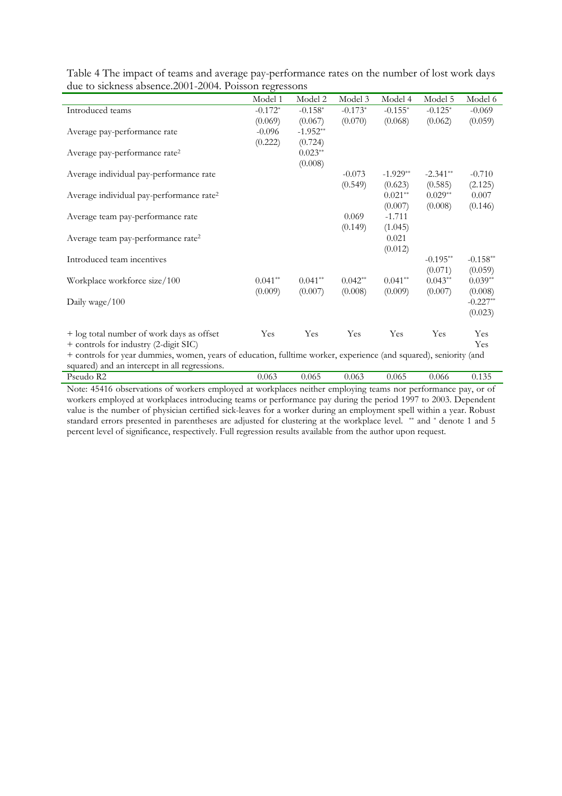|                                                                                                                   | Model 1   | Model 2    | Model 3   | Model 4    | Model 5    | Model 6    |
|-------------------------------------------------------------------------------------------------------------------|-----------|------------|-----------|------------|------------|------------|
| Introduced teams                                                                                                  | $-0.172*$ | $-0.158*$  | $-0.173*$ | $-0.155*$  | $-0.125*$  | $-0.069$   |
|                                                                                                                   | (0.069)   | (0.067)    | (0.070)   | (0.068)    | (0.062)    | (0.059)    |
| Average pay-performance rate                                                                                      | $-0.096$  | $-1.952**$ |           |            |            |            |
|                                                                                                                   | (0.222)   | (0.724)    |           |            |            |            |
| Average pay-performance rate <sup>2</sup>                                                                         |           | $0.023**$  |           |            |            |            |
|                                                                                                                   |           | (0.008)    |           |            |            |            |
| Average individual pay-performance rate                                                                           |           |            | $-0.073$  | $-1.929**$ | $-2.341**$ | $-0.710$   |
|                                                                                                                   |           |            | (0.549)   | (0.623)    | (0.585)    | (2.125)    |
| Average individual pay-performance rate <sup>2</sup>                                                              |           |            |           | $0.021**$  | $0.029**$  | 0.007      |
|                                                                                                                   |           |            |           | (0.007)    | (0.008)    | (0.146)    |
| Average team pay-performance rate                                                                                 |           |            | 0.069     | $-1.711$   |            |            |
|                                                                                                                   |           |            | (0.149)   | (1.045)    |            |            |
| Average team pay-performance rate <sup>2</sup>                                                                    |           |            |           | 0.021      |            |            |
|                                                                                                                   |           |            |           | (0.012)    |            |            |
| Introduced team incentives                                                                                        |           |            |           |            | $-0.195**$ | $-0.158**$ |
|                                                                                                                   |           |            |           |            | (0.071)    | (0.059)    |
| Workplace workforce size/100                                                                                      | $0.041**$ | $0.041**$  | $0.042**$ | $0.041**$  | $0.043**$  | $0.039**$  |
|                                                                                                                   | (0.009)   | (0.007)    | (0.008)   | (0.009)    | (0.007)    | (0.008)    |
| Daily wage/100                                                                                                    |           |            |           |            |            | $-0.227**$ |
|                                                                                                                   |           |            |           |            |            | (0.023)    |
| + log total number of work days as offset                                                                         | Yes       | Yes        | Yes       | Yes        | Yes        | Yes        |
| + controls for industry (2-digit SIC)                                                                             |           |            |           |            |            | Yes        |
| + controls for year dummies, women, years of education, fulltime worker, experience (and squared), seniority (and |           |            |           |            |            |            |
| squared) and an intercept in all regressions.                                                                     |           |            |           |            |            |            |

Table 4 The impact of teams and average pay-performance rates on the number of lost work days due to sickness absence.2001-2004. Poisson regressons

Pseudo R2 0.063 0.065 0.063 0.065 0.066 0.135 Note: 45416 observations of workers employed at workplaces neither employing teams nor performance pay, or of workers employed at workplaces introducing teams or performance pay during the period 1997 to 2003. Dependent value is the number of physician certified sick-leaves for a worker during an employment spell within a year. Robust standard errors presented in parentheses are adjusted for clustering at the workplace level. \*\* and \* denote 1 and 5 percent level of significance, respectively. Full regression results available from the author upon request.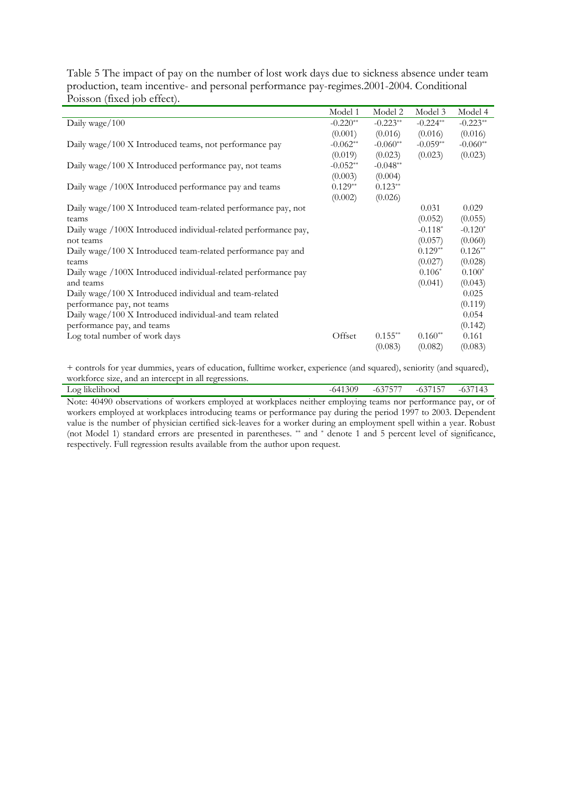| Table 5 The impact of pay on the number of lost work days due to sickness absence under team |
|----------------------------------------------------------------------------------------------|
| production, team incentive- and personal performance pay-regimes.2001-2004. Conditional      |
| Poisson (fixed job effect).                                                                  |

|                                                                 | Model 1    | Model 2    | Model 3    | Model 4    |
|-----------------------------------------------------------------|------------|------------|------------|------------|
| Daily wage/100                                                  | $-0.220**$ | $-0.223**$ | $-0.224**$ | $-0.223**$ |
|                                                                 | (0.001)    | (0.016)    | (0.016)    | (0.016)    |
| Daily wage/100 X Introduced teams, not performance pay          | $-0.062**$ | $-0.060**$ | $-0.059**$ | $-0.060**$ |
|                                                                 | (0.019)    | (0.023)    | (0.023)    | (0.023)    |
| Daily wage/100 X Introduced performance pay, not teams          | $-0.052**$ | $-0.048**$ |            |            |
|                                                                 | (0.003)    | (0.004)    |            |            |
| Daily wage /100X Introduced performance pay and teams           | $0.129**$  | $0.123**$  |            |            |
|                                                                 | (0.002)    | (0.026)    |            |            |
| Daily wage/100 X Introduced team-related performance pay, not   |            |            | 0.031      | 0.029      |
| teams                                                           |            |            | (0.052)    | (0.055)    |
| Daily wage /100X Introduced individual-related performance pay, |            |            | $-0.118*$  | $-0.120*$  |
| not teams                                                       |            |            | (0.057)    | (0.060)    |
| Daily wage/100 X Introduced team-related performance pay and    |            |            | $0.129**$  | $0.126**$  |
| teams                                                           |            |            | (0.027)    | (0.028)    |
| Daily wage /100X Introduced individual-related performance pay  |            |            | $0.106*$   | $0.100*$   |
| and teams                                                       |            |            | (0.041)    | (0.043)    |
| Daily wage/100 X Introduced individual and team-related         |            |            |            | 0.025      |
| performance pay, not teams                                      |            |            |            | (0.119)    |
| Daily wage/100 X Introduced individual-and team related         |            |            |            | 0.054      |
| performance pay, and teams                                      |            |            |            | (0.142)    |
| Log total number of work days                                   | Offset     | $0.155**$  | $0.160**$  | 0.161      |
|                                                                 |            | (0.083)    | (0.082)    | (0.083)    |

+ controls for year dummies, years of education, fulltime worker, experience (and squared), seniority (and squared), workforce size, and an intercept in all regressions.

| .<br>$\overline{\phantom{a}}$<br>$\Box$ O $\delta$<br>likelihood<br>1170<br>- - -<br>_______ |  |  |  | 309 | $\sim$ $  -$<br>- 1<br>$U.7$ .<br>$\overline{\phantom{0}}$ | $\sim$ $\sim$ $\sim$ $\sim$ $\sim$ $\sim$<br>v.,<br><b>L</b><br>__ | $\sim$<br>$\sqrt{1}$ |
|----------------------------------------------------------------------------------------------|--|--|--|-----|------------------------------------------------------------|--------------------------------------------------------------------|----------------------|
| $\mathbf{r}$<br>$\sqrt{2}$                                                                   |  |  |  |     |                                                            |                                                                    |                      |

Note: 40490 observations of workers employed at workplaces neither employing teams nor performance pay, or of workers employed at workplaces introducing teams or performance pay during the period 1997 to 2003. Dependent value is the number of physician certified sick-leaves for a worker during an employment spell within a year. Robust (not Model 1) standard errors are presented in parentheses. \*\* and \* denote 1 and 5 percent level of significance, respectively. Full regression results available from the author upon request.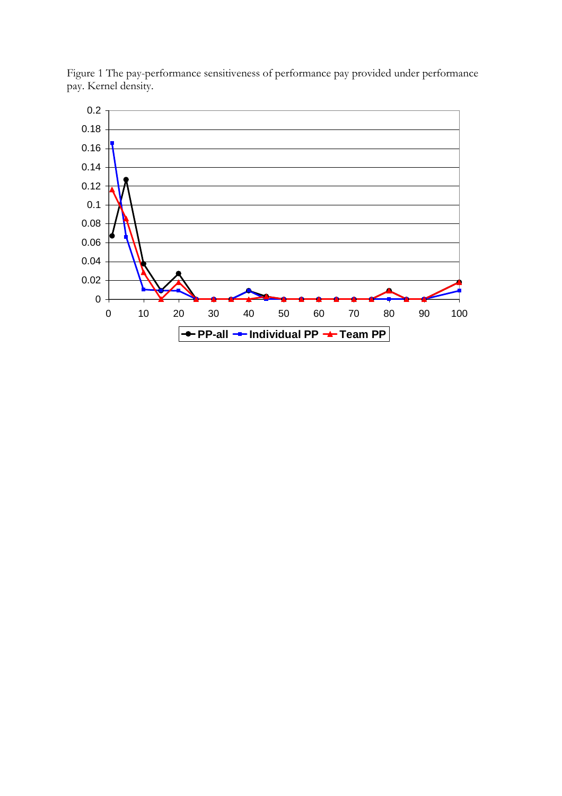

Figure 1 The pay-performance sensitiveness of performance pay provided under performance pay. Kernel density.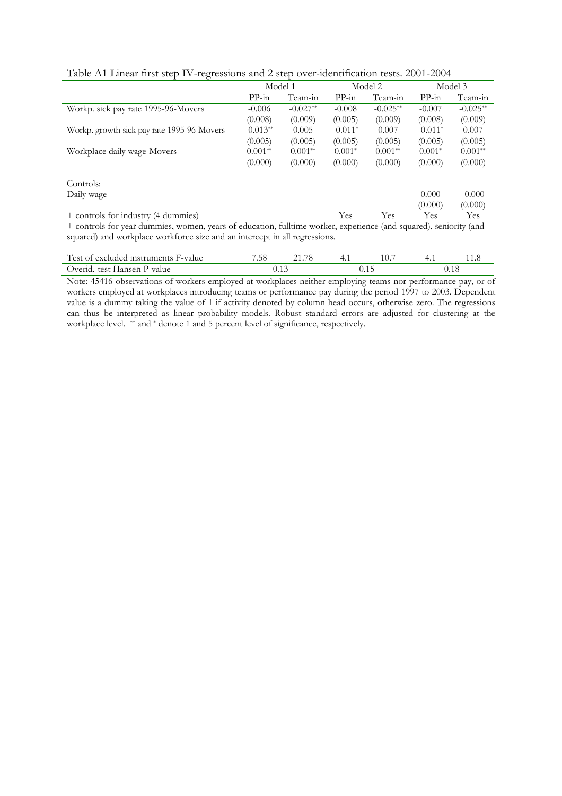|                                                                                                                   | Model 1    |            |           | Model 2    | Model 3   |            |
|-------------------------------------------------------------------------------------------------------------------|------------|------------|-----------|------------|-----------|------------|
|                                                                                                                   | $PP-in$    | Team-in    | $PP-in$   | Team-in    | $PP-in$   | Team-in    |
| Workp. sick pay rate 1995-96-Movers                                                                               | $-0.006$   | $-0.027**$ | $-0.008$  | $-0.025**$ | $-0.007$  | $-0.025**$ |
|                                                                                                                   | (0.008)    | (0.009)    | (0.005)   | (0.009)    | (0.008)   | (0.009)    |
| Workp. growth sick pay rate 1995-96-Movers                                                                        | $-0.013**$ | 0.005      | $-0.011*$ | 0.007      | $-0.011*$ | 0.007      |
|                                                                                                                   | (0.005)    | (0.005)    | (0.005)   | (0.005)    | (0.005)   | (0.005)    |
| Workplace daily wage-Movers                                                                                       | $0.001**$  | $0.001**$  | $0.001*$  | $0.001**$  | $0.001*$  | $0.001**$  |
|                                                                                                                   | (0.000)    | (0.000)    | (0.000)   | (0.000)    | (0.000)   | (0.000)    |
| Controls:                                                                                                         |            |            |           |            |           |            |
| Daily wage                                                                                                        |            |            |           |            | 0.000     | $-0.000$   |
|                                                                                                                   |            |            |           |            | (0.000)   | (0.000)    |
| + controls for industry (4 dummies)                                                                               |            |            | Yes       | Yes        | Yes       | <b>Yes</b> |
| + controls for year dummies, women, years of education, fulltime worker, experience (and squared), seniority (and |            |            |           |            |           |            |

Table A1 Linear first step IV-regressions and 2 step over-identification tests. 2001-2004

+ controls for year dummies, women, years of education, fulltime worker, experience (and squared), seniority (and squared) and workplace workforce size and an intercept in all regressions.

| Test of excluded instruments F-value | .58 |  |  |  |  |
|--------------------------------------|-----|--|--|--|--|
| Overid.-test Hansen P-value          |     |  |  |  |  |

Note: 45416 observations of workers employed at workplaces neither employing teams nor performance pay, or of workers employed at workplaces introducing teams or performance pay during the period 1997 to 2003. Dependent value is a dummy taking the value of 1 if activity denoted by column head occurs, otherwise zero. The regressions can thus be interpreted as linear probability models. Robust standard errors are adjusted for clustering at the workplace level. \*\* and \* denote 1 and 5 percent level of significance, respectively.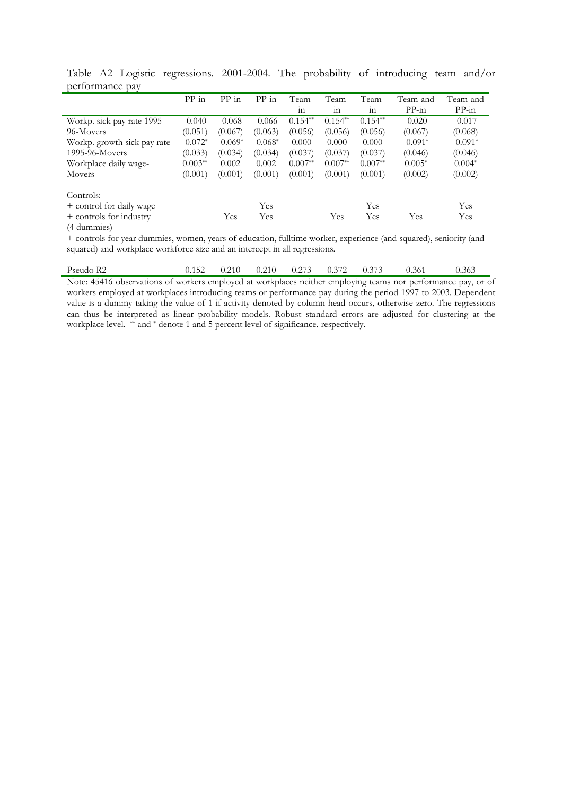|                             | $PP-in$   | $PP-in$   | $PP-in$   | Team-     | Team-           | Team-           | Team-and  | Team-and  |
|-----------------------------|-----------|-----------|-----------|-----------|-----------------|-----------------|-----------|-----------|
|                             |           |           |           | 111       | 11 <sup>2</sup> | 11 <sup>2</sup> | $PP-in$   | $PP-in$   |
| Workp. sick pay rate 1995-  | $-0.040$  | $-0.068$  | $-0.066$  | $0.154**$ | $0.154**$       | $0.154**$       | $-0.020$  | $-0.017$  |
| 96-Movers                   | (0.051)   | (0.067)   | (0.063)   | (0.056)   | (0.056)         | (0.056)         | (0.067)   | (0.068)   |
| Workp. growth sick pay rate | $-0.072*$ | $-0.069*$ | $-0.068*$ | 0.000     | 0.000           | 0.000           | $-0.091*$ | $-0.091*$ |
| 1995-96-Movers              | (0.033)   | (0.034)   | (0.034)   | (0.037)   | (0.037)         | (0.037)         | (0.046)   | (0.046)   |
| Workplace daily wage-       | $0.003**$ | 0.002     | 0.002     | $0.007**$ | $0.007**$       | $0.007**$       | $0.005*$  | $0.004*$  |
| Movers                      | (0.001)   | (0.001)   | (0.001)   | (0.001)   | (0.001)         | (0.001)         | (0.002)   | (0.002)   |
| Controls:                   |           |           |           |           |                 |                 |           |           |
| + control for daily wage    |           |           | Yes       |           |                 | Yes             |           | Yes       |
| + controls for industry     |           | Yes       | Yes       |           | Yes             | Yes             | Yes       | Yes       |
| (4 dummies)                 |           |           |           |           |                 |                 |           |           |

Table A2 Logistic regressions. 2001-2004. The probability of introducing team and/or performance pay L,

+ controls for year dummies, women, years of education, fulltime worker, experience (and squared), seniority (and squared) and workplace workforce size and an intercept in all regressions.

|  | Pseudo R2 | 0.152 | 0.210 | 0.210 | 0.273 | $0.37 -$ | 0.373 | 0.361 | 0.361 |
|--|-----------|-------|-------|-------|-------|----------|-------|-------|-------|
|--|-----------|-------|-------|-------|-------|----------|-------|-------|-------|

Note: 45416 observations of workers employed at workplaces neither employing teams nor performance pay, or of workers employed at workplaces introducing teams or performance pay during the period 1997 to 2003. Dependent value is a dummy taking the value of 1 if activity denoted by column head occurs, otherwise zero. The regressions can thus be interpreted as linear probability models. Robust standard errors are adjusted for clustering at the workplace level. \*\* and \* denote 1 and 5 percent level of significance, respectively.